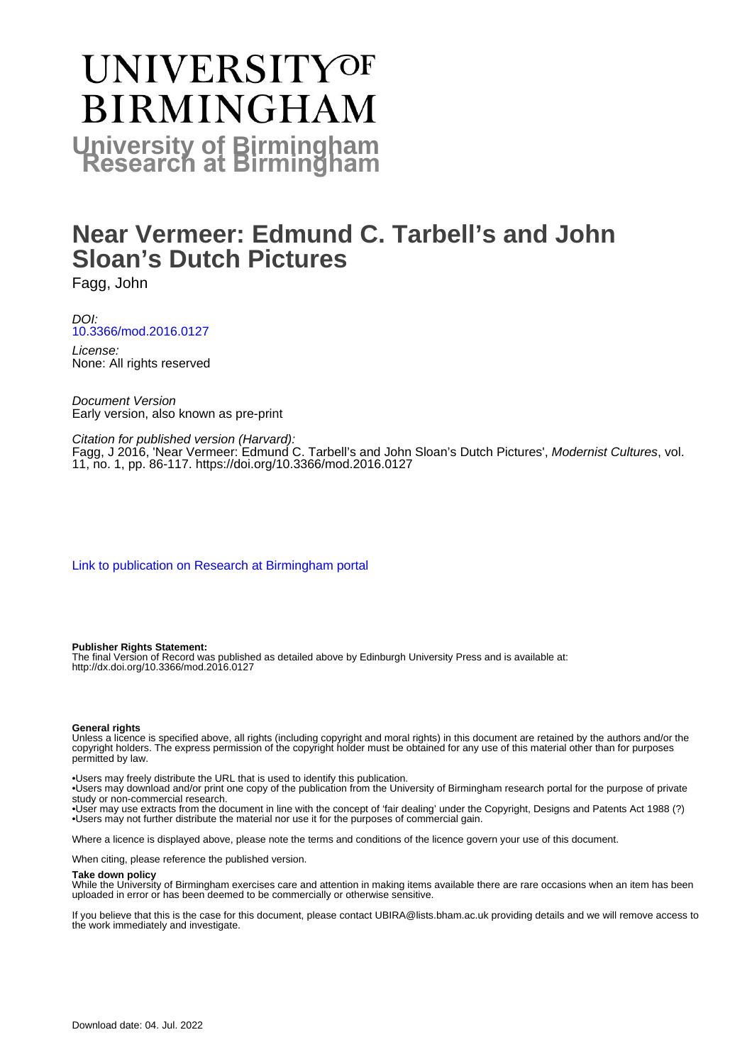# **UNIVERSITYOF BIRMINGHAM University of Birmingham**

# **Near Vermeer: Edmund C. Tarbell's and John Sloan's Dutch Pictures**

Fagg, John

DOI: [10.3366/mod.2016.0127](https://doi.org/10.3366/mod.2016.0127)

License: None: All rights reserved

Document Version Early version, also known as pre-print

Citation for published version (Harvard):

Fagg, J 2016, 'Near Vermeer: Edmund C. Tarbell's and John Sloan's Dutch Pictures', Modernist Cultures, vol. 11, no. 1, pp. 86-117. <https://doi.org/10.3366/mod.2016.0127>

[Link to publication on Research at Birmingham portal](https://birmingham.elsevierpure.com/en/publications/401c10c4-2a0d-4993-a9fa-99e8daa64287)

## **Publisher Rights Statement:**

The final Version of Record was published as detailed above by Edinburgh University Press and is available at: http://dx.doi.org/10.3366/mod.2016.0127

## **General rights**

Unless a licence is specified above, all rights (including copyright and moral rights) in this document are retained by the authors and/or the copyright holders. The express permission of the copyright holder must be obtained for any use of this material other than for purposes permitted by law.

• Users may freely distribute the URL that is used to identify this publication.

• Users may download and/or print one copy of the publication from the University of Birmingham research portal for the purpose of private study or non-commercial research.

• User may use extracts from the document in line with the concept of 'fair dealing' under the Copyright, Designs and Patents Act 1988 (?) • Users may not further distribute the material nor use it for the purposes of commercial gain.

Where a licence is displayed above, please note the terms and conditions of the licence govern your use of this document.

When citing, please reference the published version.

## **Take down policy**

While the University of Birmingham exercises care and attention in making items available there are rare occasions when an item has been uploaded in error or has been deemed to be commercially or otherwise sensitive.

If you believe that this is the case for this document, please contact UBIRA@lists.bham.ac.uk providing details and we will remove access to the work immediately and investigate.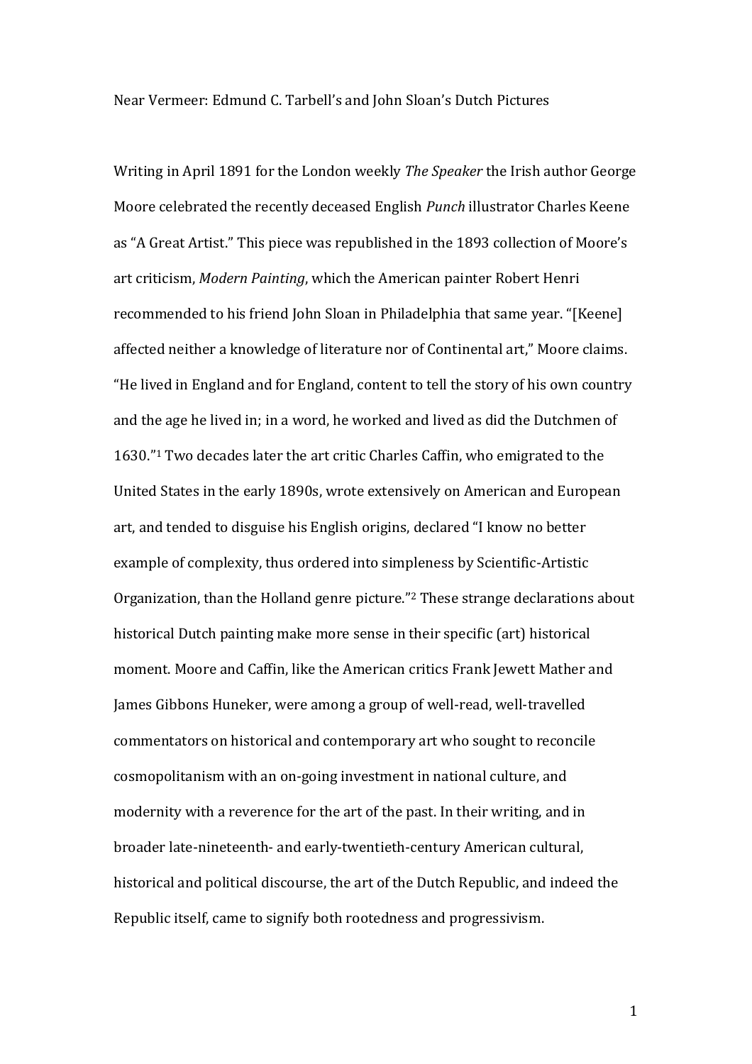Near Vermeer: Edmund C. Tarbell's and John Sloan's Dutch Pictures

Writing in April 1891 for the London weekly *The Speaker* the Irish author George Moore celebrated the recently deceased English *Punch* illustrator Charles Keene as "A Great Artist." This piece was republished in the 1893 collection of Moore's art criticism, *Modern Painting*, which the American painter Robert Henri recommended to his friend John Sloan in Philadelphia that same year. "[Keene] affected neither a knowledge of literature nor of Continental art," Moore claims. "He lived in England and for England, content to tell the story of his own country and the age he lived in; in a word, he worked and lived as did the Dutchmen of 1630." <sup>1</sup> Two decades later the art critic Charles Caffin, who emigrated to the United States in the early 1890s, wrote extensively on American and European art, and tended to disguise his English origins, declared "I know no better example of complexity, thus ordered into simpleness by Scientific-Artistic Organization, than the Holland genre picture."<sup>2</sup> These strange declarations about historical Dutch painting make more sense in their specific (art) historical moment. Moore and Caffin, like the American critics Frank Jewett Mather and James Gibbons Huneker, were among a group of well-read, well-travelled commentators on historical and contemporary art who sought to reconcile cosmopolitanism with an on-going investment in national culture, and modernity with a reverence for the art of the past. In their writing, and in broader late-nineteenth- and early-twentieth-century American cultural, historical and political discourse, the art of the Dutch Republic, and indeed the Republic itself, came to signify both rootedness and progressivism.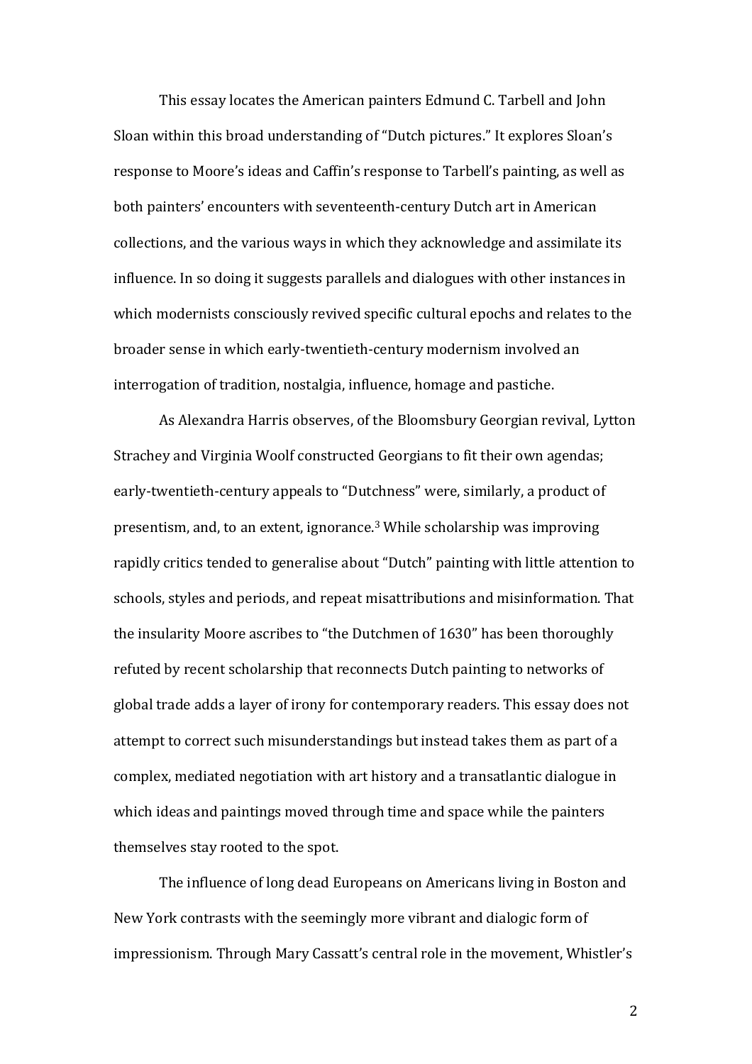This essay locates the American painters Edmund C. Tarbell and John Sloan within this broad understanding of "Dutch pictures." It explores Sloan's response to Moore's ideas and Caffin's response to Tarbell's painting, as well as both painters' encounters with seventeenth-century Dutch art in American collections, and the various ways in which they acknowledge and assimilate its influence. In so doing it suggests parallels and dialogues with other instances in which modernists consciously revived specific cultural epochs and relates to the broader sense in which early-twentieth-century modernism involved an interrogation of tradition, nostalgia, influence, homage and pastiche.

As Alexandra Harris observes, of the Bloomsbury Georgian revival, Lytton Strachey and Virginia Woolf constructed Georgians to fit their own agendas; early-twentieth-century appeals to "Dutchness" were, similarly, a product of presentism, and, to an extent, ignorance.<sup>3</sup> While scholarship was improving rapidly critics tended to generalise about "Dutch" painting with little attention to schools, styles and periods, and repeat misattributions and misinformation. That the insularity Moore ascribes to "the Dutchmen of 1630" has been thoroughly refuted by recent scholarship that reconnects Dutch painting to networks of global trade adds a layer of irony for contemporary readers. This essay does not attempt to correct such misunderstandings but instead takes them as part of a complex, mediated negotiation with art history and a transatlantic dialogue in which ideas and paintings moved through time and space while the painters themselves stay rooted to the spot.

The influence of long dead Europeans on Americans living in Boston and New York contrasts with the seemingly more vibrant and dialogic form of impressionism. Through Mary Cassatt's central role in the movement, Whistler's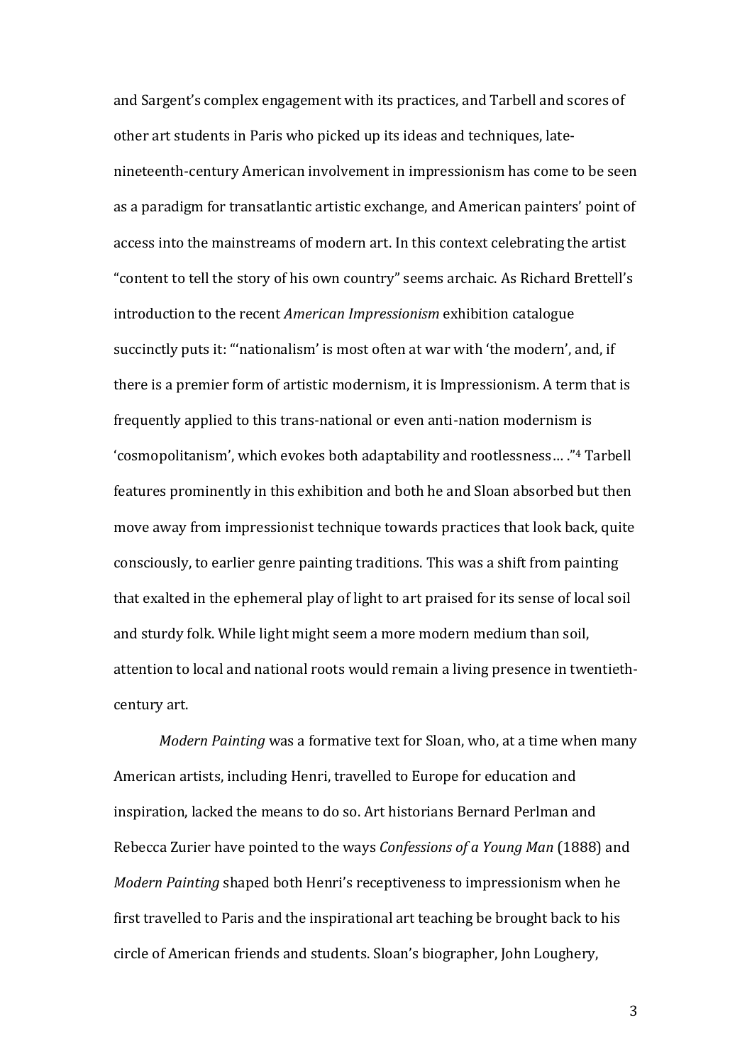and Sargent's complex engagement with its practices, and Tarbell and scores of other art students in Paris who picked up its ideas and techniques, latenineteenth-century American involvement in impressionism has come to be seen as a paradigm for transatlantic artistic exchange, and American painters' point of access into the mainstreams of modern art. In this context celebrating the artist "content to tell the story of his own country" seems archaic. As Richard Brettell's introduction to the recent *American Impressionism* exhibition catalogue succinctly puts it: "'nationalism' is most often at war with 'the modern', and, if there is a premier form of artistic modernism, it is Impressionism. A term that is frequently applied to this trans-national or even anti-nation modernism is 'cosmopolitanism', which evokes both adaptability and rootlessness… ." <sup>4</sup> Tarbell features prominently in this exhibition and both he and Sloan absorbed but then move away from impressionist technique towards practices that look back, quite consciously, to earlier genre painting traditions. This was a shift from painting that exalted in the ephemeral play of light to art praised for its sense of local soil and sturdy folk. While light might seem a more modern medium than soil, attention to local and national roots would remain a living presence in twentiethcentury art.

*Modern Painting* was a formative text for Sloan, who, at a time when many American artists, including Henri, travelled to Europe for education and inspiration, lacked the means to do so. Art historians Bernard Perlman and Rebecca Zurier have pointed to the ways *Confessions of a Young Man* (1888) and *Modern Painting* shaped both Henri's receptiveness to impressionism when he first travelled to Paris and the inspirational art teaching be brought back to his circle of American friends and students. Sloan's biographer, John Loughery,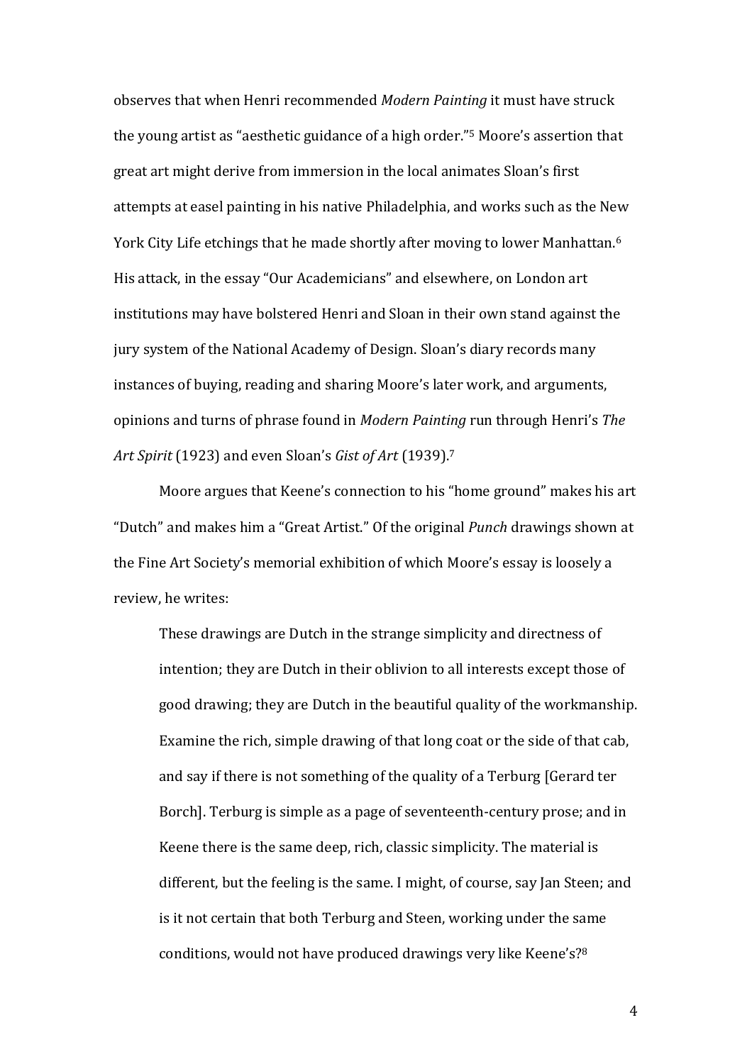observes that when Henri recommended *Modern Painting* it must have struck the young artist as "aesthetic guidance of a high order." <sup>5</sup> Moore's assertion that great art might derive from immersion in the local animates Sloan's first attempts at easel painting in his native Philadelphia, and works such as the New York City Life etchings that he made shortly after moving to lower Manhattan.<sup>6</sup> His attack, in the essay "Our Academicians" and elsewhere, on London art institutions may have bolstered Henri and Sloan in their own stand against the jury system of the National Academy of Design. Sloan's diary records many instances of buying, reading and sharing Moore's later work, and arguments, opinions and turns of phrase found in *Modern Painting* run through Henri's *The Art Spirit* (1923) and even Sloan's *Gist of Art* (1939).<sup>7</sup>

Moore argues that Keene's connection to his "home ground" makes his art "Dutch" and makes him a "Great Artist." Of the original *Punch* drawings shown at the Fine Art Society's memorial exhibition of which Moore's essay is loosely a review, he writes:

These drawings are Dutch in the strange simplicity and directness of intention; they are Dutch in their oblivion to all interests except those of good drawing; they are Dutch in the beautiful quality of the workmanship. Examine the rich, simple drawing of that long coat or the side of that cab, and say if there is not something of the quality of a Terburg [Gerard ter Borch]. Terburg is simple as a page of seventeenth-century prose; and in Keene there is the same deep, rich, classic simplicity. The material is different, but the feeling is the same. I might, of course, say Jan Steen; and is it not certain that both Terburg and Steen, working under the same conditions, would not have produced drawings very like Keene's?8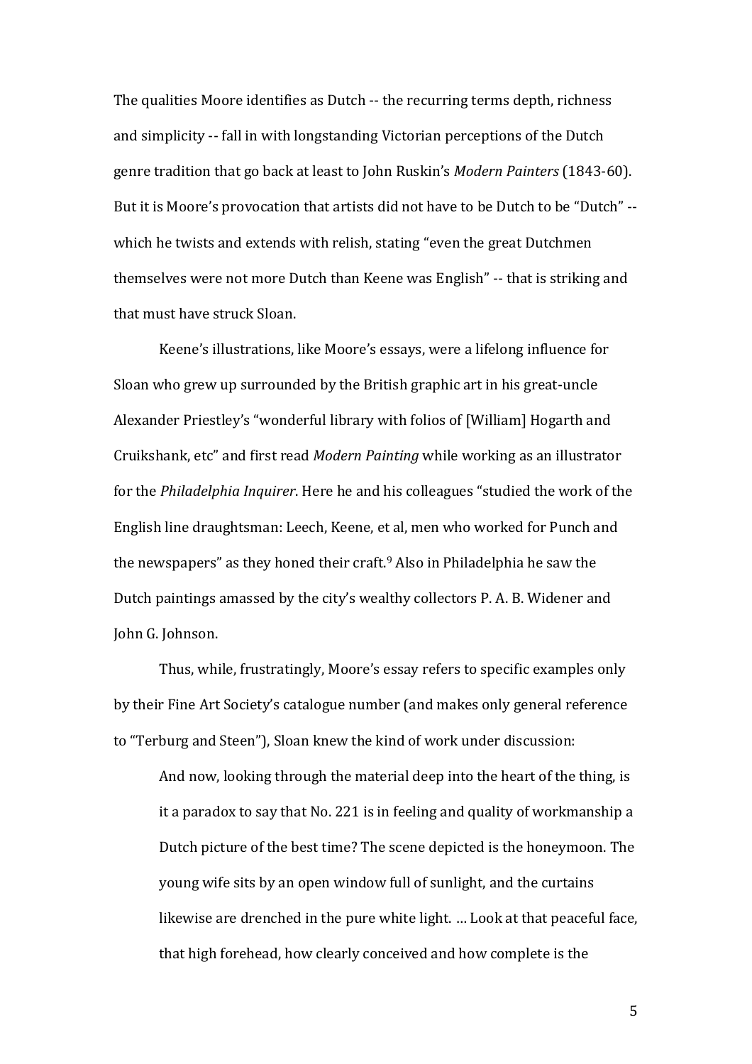The qualities Moore identifies as Dutch -- the recurring terms depth, richness and simplicity -- fall in with longstanding Victorian perceptions of the Dutch genre tradition that go back at least to John Ruskin's *Modern Painters* (1843-60). But it is Moore's provocation that artists did not have to be Dutch to be "Dutch" - which he twists and extends with relish, stating "even the great Dutchmen themselves were not more Dutch than Keene was English" -- that is striking and that must have struck Sloan.

Keene's illustrations, like Moore's essays, were a lifelong influence for Sloan who grew up surrounded by the British graphic art in his great-uncle Alexander Priestley's "wonderful library with folios of [William] Hogarth and Cruikshank, etc" and first read *Modern Painting* while working as an illustrator for the *Philadelphia Inquirer*. Here he and his colleagues "studied the work of the English line draughtsman: Leech, Keene, et al, men who worked for Punch and the newspapers" as they honed their craft.<sup>9</sup> Also in Philadelphia he saw the Dutch paintings amassed by the city's wealthy collectors P. A. B. Widener and John G. Johnson.

Thus, while, frustratingly, Moore's essay refers to specific examples only by their Fine Art Society's catalogue number (and makes only general reference to "Terburg and Steen"), Sloan knew the kind of work under discussion:

And now, looking through the material deep into the heart of the thing, is it a paradox to say that No. 221 is in feeling and quality of workmanship a Dutch picture of the best time? The scene depicted is the honeymoon. The young wife sits by an open window full of sunlight, and the curtains likewise are drenched in the pure white light. … Look at that peaceful face, that high forehead, how clearly conceived and how complete is the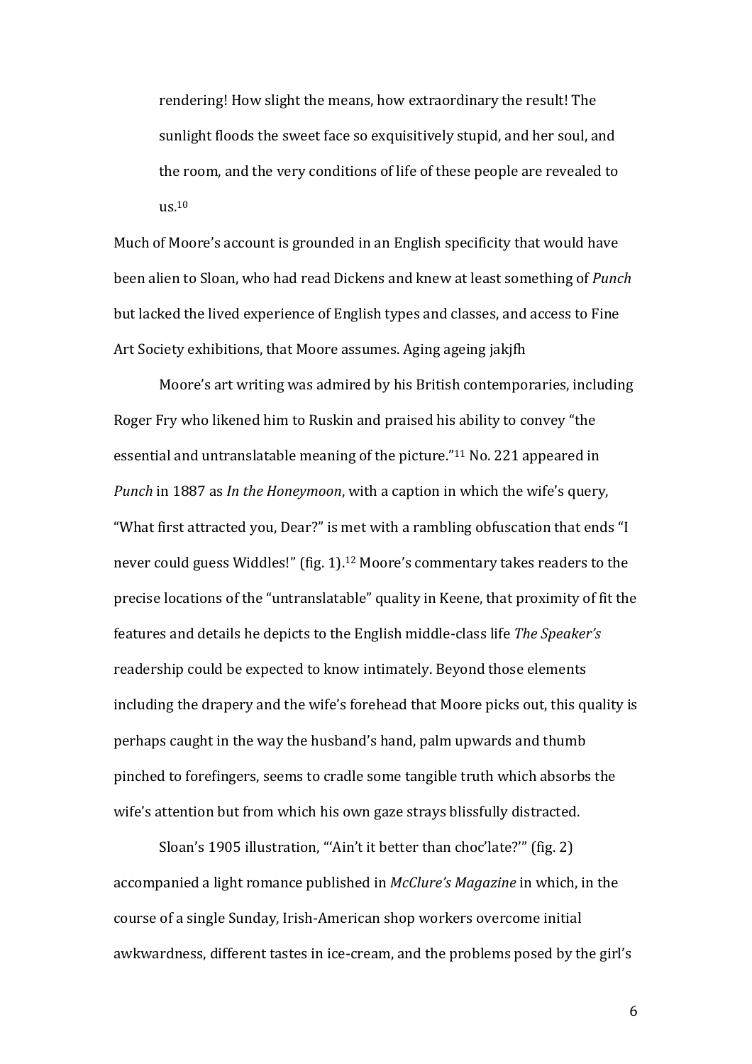rendering! How slight the means, how extraordinary the result! The sunlight floods the sweet face so exquisitively stupid, and her soul, and the room, and the very conditions of life of these people are revealed to  $\text{u}$ s.<sup>10</sup>

Much of Moore's account is grounded in an English specificity that would have been alien to Sloan, who had read Dickens and knew at least something of *Punch* but lacked the lived experience of English types and classes, and access to Fine Art Society exhibitions, that Moore assumes. Aging ageing jakjfh

Moore's art writing was admired by his British contemporaries, including Roger Fry who likened him to Ruskin and praised his ability to convey "the essential and untranslatable meaning of the picture."<sup>11</sup> No. 221 appeared in *Punch* in 1887 as *In the Honeymoon*, with a caption in which the wife's query, "What first attracted you, Dear?" is met with a rambling obfuscation that ends "I never could guess Widdles!" (fig. 1).<sup>12</sup> Moore's commentary takes readers to the precise locations of the "untranslatable" quality in Keene, that proximity of fit the features and details he depicts to the English middle-class life *The Speaker's* readership could be expected to know intimately. Beyond those elements including the drapery and the wife's forehead that Moore picks out, this quality is perhaps caught in the way the husband's hand, palm upwards and thumb pinched to forefingers, seems to cradle some tangible truth which absorbs the wife's attention but from which his own gaze strays blissfully distracted.

Sloan's 1905 illustration, "'Ain't it better than choc'late?'" (fig. 2) accompanied a light romance published in *McClure's Magazine* in which, in the course of a single Sunday, Irish-American shop workers overcome initial awkwardness, different tastes in ice-cream, and the problems posed by the girl's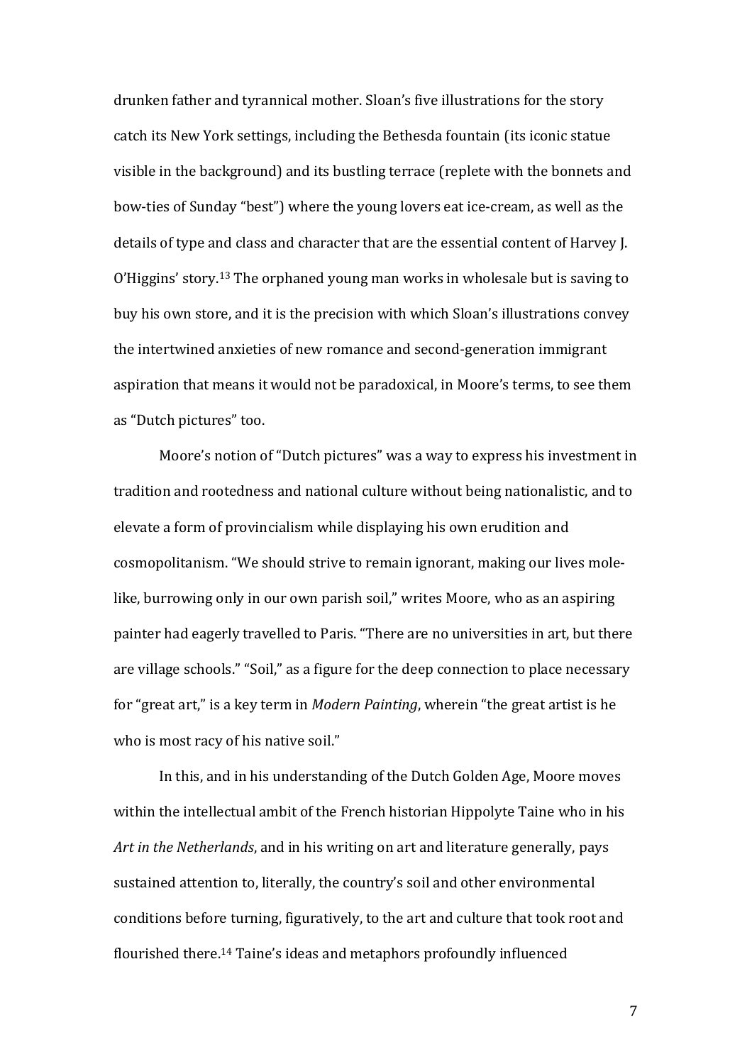drunken father and tyrannical mother. Sloan's five illustrations for the story catch its New York settings, including the Bethesda fountain (its iconic statue visible in the background) and its bustling terrace (replete with the bonnets and bow-ties of Sunday "best") where the young lovers eat ice-cream, as well as the details of type and class and character that are the essential content of Harvey J. O'Higgins' story.<sup>13</sup> The orphaned young man works in wholesale but is saving to buy his own store, and it is the precision with which Sloan's illustrations convey the intertwined anxieties of new romance and second-generation immigrant aspiration that means it would not be paradoxical, in Moore's terms, to see them as "Dutch pictures" too.

Moore's notion of "Dutch pictures" was a way to express his investment in tradition and rootedness and national culture without being nationalistic, and to elevate a form of provincialism while displaying his own erudition and cosmopolitanism. "We should strive to remain ignorant, making our lives molelike, burrowing only in our own parish soil," writes Moore, who as an aspiring painter had eagerly travelled to Paris. "There are no universities in art, but there are village schools." "Soil," as a figure for the deep connection to place necessary for "great art," is a key term in *Modern Painting*, wherein "the great artist is he who is most racy of his native soil."

In this, and in his understanding of the Dutch Golden Age, Moore moves within the intellectual ambit of the French historian Hippolyte Taine who in his *Art in the Netherlands*, and in his writing on art and literature generally, pays sustained attention to, literally, the country's soil and other environmental conditions before turning, figuratively, to the art and culture that took root and flourished there.<sup>14</sup> Taine's ideas and metaphors profoundly influenced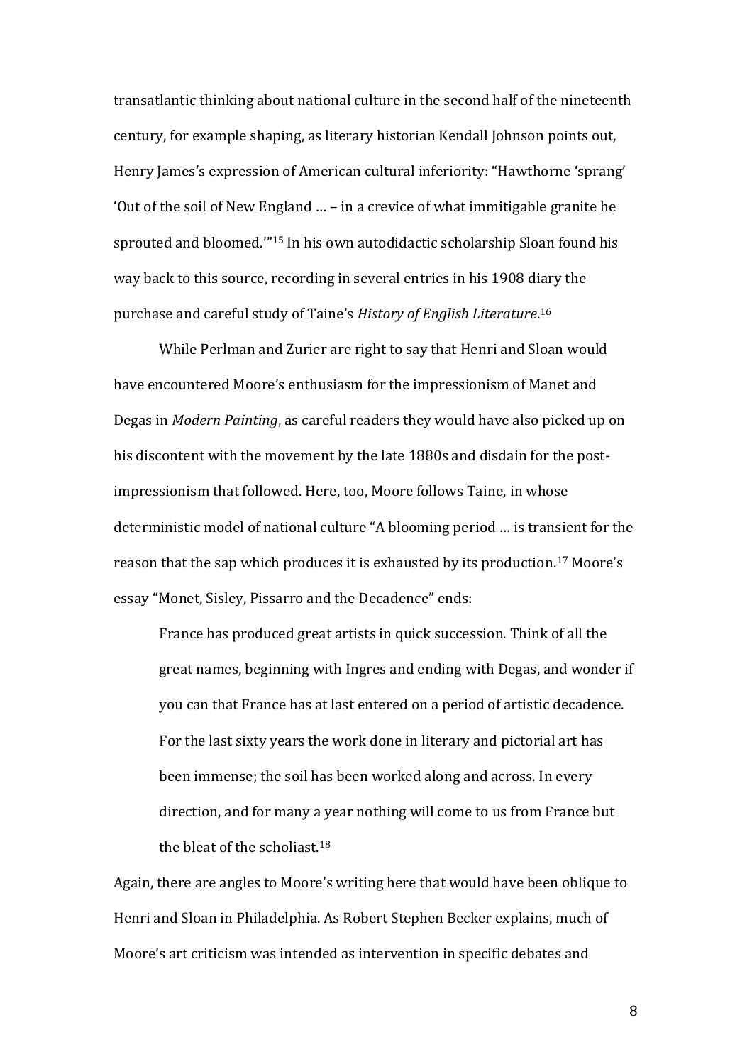transatlantic thinking about national culture in the second half of the nineteenth century, for example shaping, as literary historian Kendall Johnson points out, Henry James's expression of American cultural inferiority: "Hawthorne 'sprang' 'Out of the soil of New England … – in a crevice of what immitigable granite he sprouted and bloomed.'" <sup>15</sup> In his own autodidactic scholarship Sloan found his way back to this source, recording in several entries in his 1908 diary the purchase and careful study of Taine's *History of English Literature*. 16

While Perlman and Zurier are right to say that Henri and Sloan would have encountered Moore's enthusiasm for the impressionism of Manet and Degas in *Modern Painting*, as careful readers they would have also picked up on his discontent with the movement by the late 1880s and disdain for the postimpressionism that followed. Here, too, Moore follows Taine, in whose deterministic model of national culture "A blooming period … is transient for the reason that the sap which produces it is exhausted by its production.<sup>17</sup> Moore's essay "Monet, Sisley, Pissarro and the Decadence" ends:

France has produced great artists in quick succession. Think of all the great names, beginning with Ingres and ending with Degas, and wonder if you can that France has at last entered on a period of artistic decadence. For the last sixty years the work done in literary and pictorial art has been immense; the soil has been worked along and across. In every direction, and for many a year nothing will come to us from France but the bleat of the scholiast.<sup>18</sup>

Again, there are angles to Moore's writing here that would have been oblique to Henri and Sloan in Philadelphia. As Robert Stephen Becker explains, much of Moore's art criticism was intended as intervention in specific debates and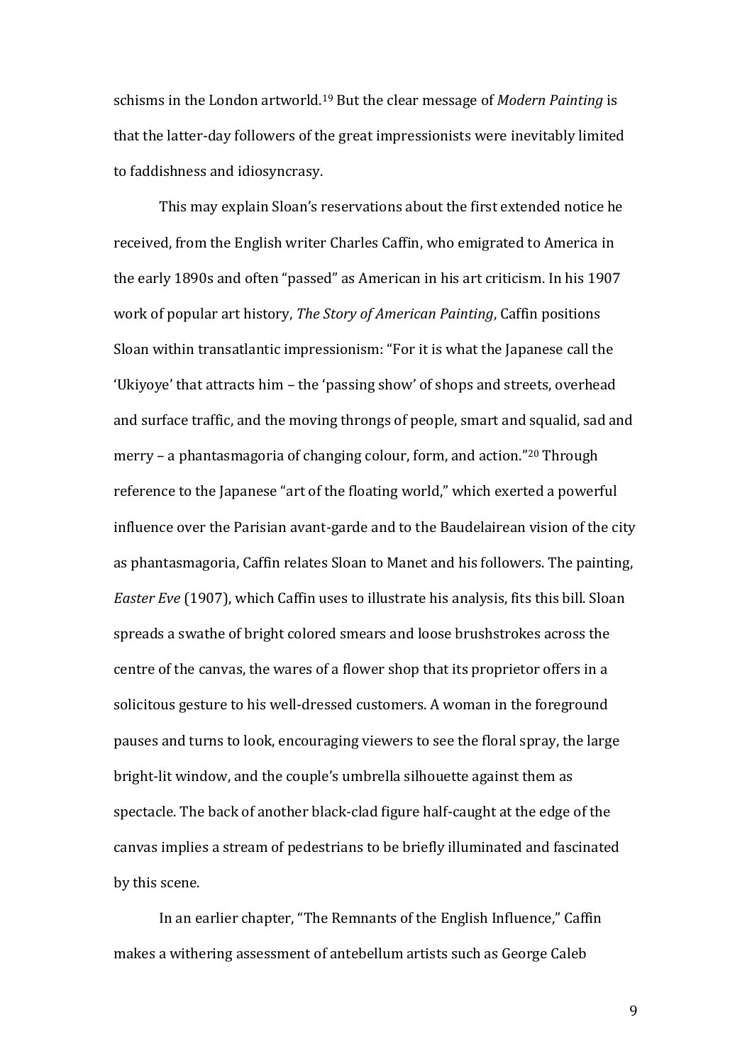schisms in the London artworld.<sup>19</sup> But the clear message of *Modern Painting* is that the latter-day followers of the great impressionists were inevitably limited to faddishness and idiosyncrasy.

This may explain Sloan's reservations about the first extended notice he received, from the English writer Charles Caffin, who emigrated to America in the early 1890s and often "passed" as American in his art criticism. In his 1907 work of popular art history, *The Story of American Painting*, Caffin positions Sloan within transatlantic impressionism: "For it is what the Japanese call the 'Ukiyoye' that attracts him – the 'passing show' of shops and streets, overhead and surface traffic, and the moving throngs of people, smart and squalid, sad and merry – a phantasmagoria of changing colour, form, and action." <sup>20</sup> Through reference to the Japanese "art of the floating world," which exerted a powerful influence over the Parisian avant-garde and to the Baudelairean vision of the city as phantasmagoria, Caffin relates Sloan to Manet and his followers. The painting, *Easter Eve* (1907), which Caffin uses to illustrate his analysis, fits this bill. Sloan spreads a swathe of bright colored smears and loose brushstrokes across the centre of the canvas, the wares of a flower shop that its proprietor offers in a solicitous gesture to his well-dressed customers. A woman in the foreground pauses and turns to look, encouraging viewers to see the floral spray, the large bright-lit window, and the couple's umbrella silhouette against them as spectacle. The back of another black-clad figure half-caught at the edge of the canvas implies a stream of pedestrians to be briefly illuminated and fascinated by this scene.

In an earlier chapter, "The Remnants of the English Influence," Caffin makes a withering assessment of antebellum artists such as George Caleb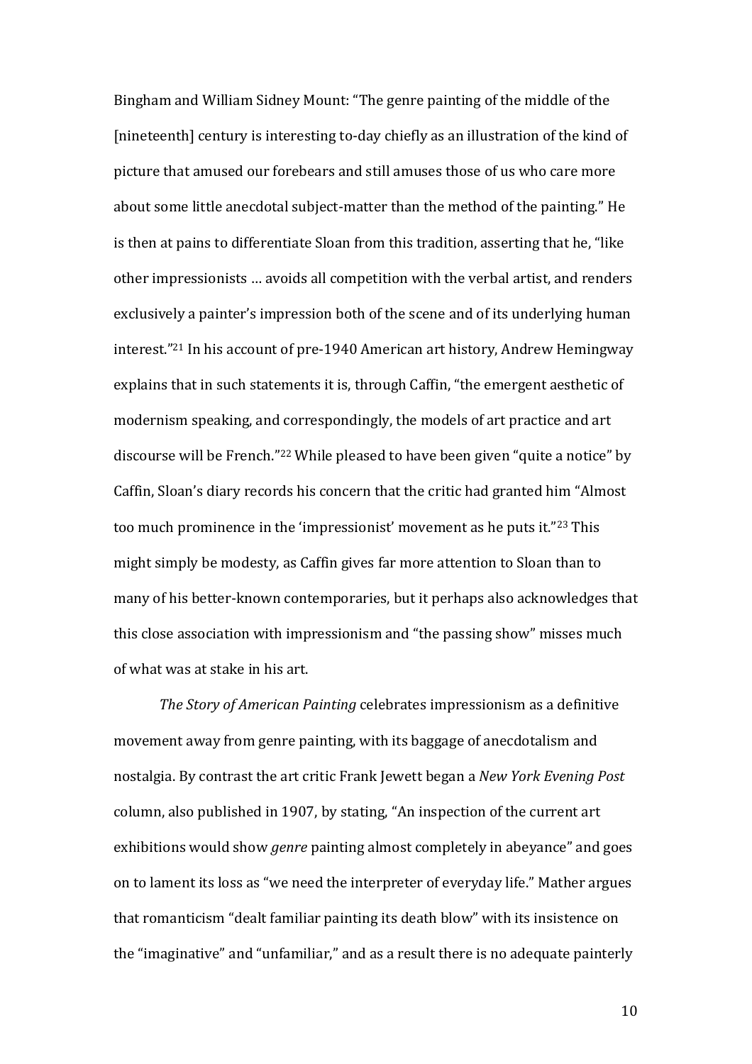Bingham and William Sidney Mount: "The genre painting of the middle of the [nineteenth] century is interesting to-day chiefly as an illustration of the kind of picture that amused our forebears and still amuses those of us who care more about some little anecdotal subject-matter than the method of the painting." He is then at pains to differentiate Sloan from this tradition, asserting that he, "like other impressionists … avoids all competition with the verbal artist, and renders exclusively a painter's impression both of the scene and of its underlying human interest." <sup>21</sup> In his account of pre-1940 American art history, Andrew Hemingway explains that in such statements it is, through Caffin, "the emergent aesthetic of modernism speaking, and correspondingly, the models of art practice and art discourse will be French."<sup>22</sup> While pleased to have been given "quite a notice" by Caffin, Sloan's diary records his concern that the critic had granted him "Almost too much prominence in the 'impressionist' movement as he puts it."<sup>23</sup> This might simply be modesty, as Caffin gives far more attention to Sloan than to many of his better-known contemporaries, but it perhaps also acknowledges that this close association with impressionism and "the passing show" misses much of what was at stake in his art.

*The Story of American Painting* celebrates impressionism as a definitive movement away from genre painting, with its baggage of anecdotalism and nostalgia. By contrast the art critic Frank Jewett began a *New York Evening Post* column, also published in 1907, by stating, "An inspection of the current art exhibitions would show *genre* painting almost completely in abeyance" and goes on to lament its loss as "we need the interpreter of everyday life." Mather argues that romanticism "dealt familiar painting its death blow" with its insistence on the "imaginative" and "unfamiliar," and as a result there is no adequate painterly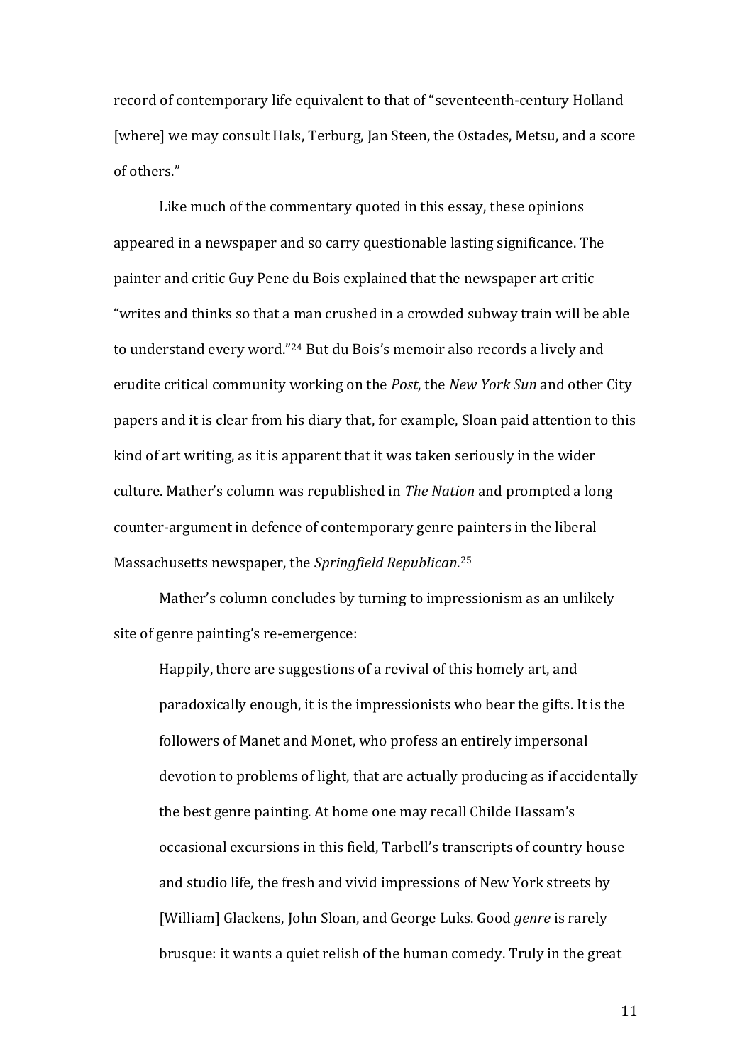record of contemporary life equivalent to that of "seventeenth-century Holland [where] we may consult Hals, Terburg, Jan Steen, the Ostades, Metsu, and a score of others."

Like much of the commentary quoted in this essay, these opinions appeared in a newspaper and so carry questionable lasting significance. The painter and critic Guy Pene du Bois explained that the newspaper art critic "writes and thinks so that a man crushed in a crowded subway train will be able to understand every word."<sup>24</sup> But du Bois's memoir also records a lively and erudite critical community working on the *Post*, the *New York Sun* and other City papers and it is clear from his diary that, for example, Sloan paid attention to this kind of art writing, as it is apparent that it was taken seriously in the wider culture. Mather's column was republished in *The Nation* and prompted a long counter-argument in defence of contemporary genre painters in the liberal Massachusetts newspaper, the *Springfield Republican*. 25

Mather's column concludes by turning to impressionism as an unlikely site of genre painting's re-emergence:

Happily, there are suggestions of a revival of this homely art, and paradoxically enough, it is the impressionists who bear the gifts. It is the followers of Manet and Monet, who profess an entirely impersonal devotion to problems of light, that are actually producing as if accidentally the best genre painting. At home one may recall Childe Hassam's occasional excursions in this field, Tarbell's transcripts of country house and studio life, the fresh and vivid impressions of New York streets by [William] Glackens, John Sloan, and George Luks. Good *genre* is rarely brusque: it wants a quiet relish of the human comedy. Truly in the great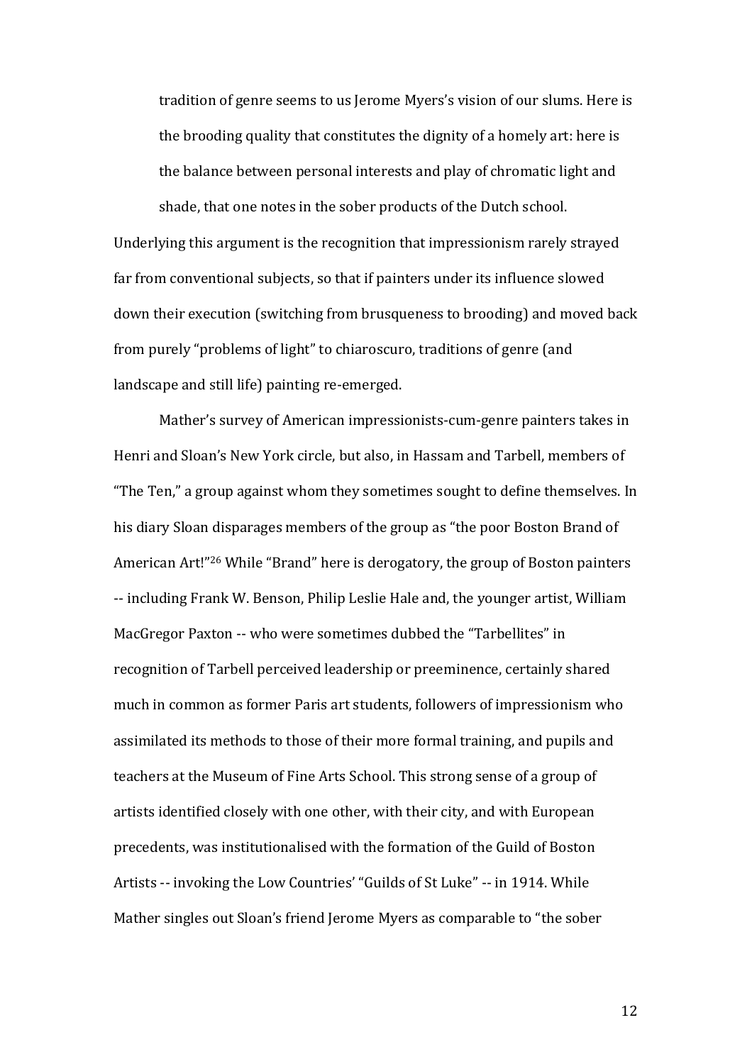tradition of genre seems to us Jerome Myers's vision of our slums. Here is the brooding quality that constitutes the dignity of a homely art: here is the balance between personal interests and play of chromatic light and

Underlying this argument is the recognition that impressionism rarely strayed far from conventional subjects, so that if painters under its influence slowed down their execution (switching from brusqueness to brooding) and moved back from purely "problems of light" to chiaroscuro, traditions of genre (and landscape and still life) painting re-emerged.

shade, that one notes in the sober products of the Dutch school.

Mather's survey of American impressionists-cum-genre painters takes in Henri and Sloan's New York circle, but also, in Hassam and Tarbell, members of "The Ten," a group against whom they sometimes sought to define themselves. In his diary Sloan disparages members of the group as "the poor Boston Brand of American Art!"<sup>26</sup> While "Brand" here is derogatory, the group of Boston painters -- including Frank W. Benson, Philip Leslie Hale and, the younger artist, William MacGregor Paxton -- who were sometimes dubbed the "Tarbellites" in recognition of Tarbell perceived leadership or preeminence, certainly shared much in common as former Paris art students, followers of impressionism who assimilated its methods to those of their more formal training, and pupils and teachers at the Museum of Fine Arts School. This strong sense of a group of artists identified closely with one other, with their city, and with European precedents, was institutionalised with the formation of the Guild of Boston Artists -- invoking the Low Countries' "Guilds of St Luke" -- in 1914. While Mather singles out Sloan's friend Jerome Myers as comparable to "the sober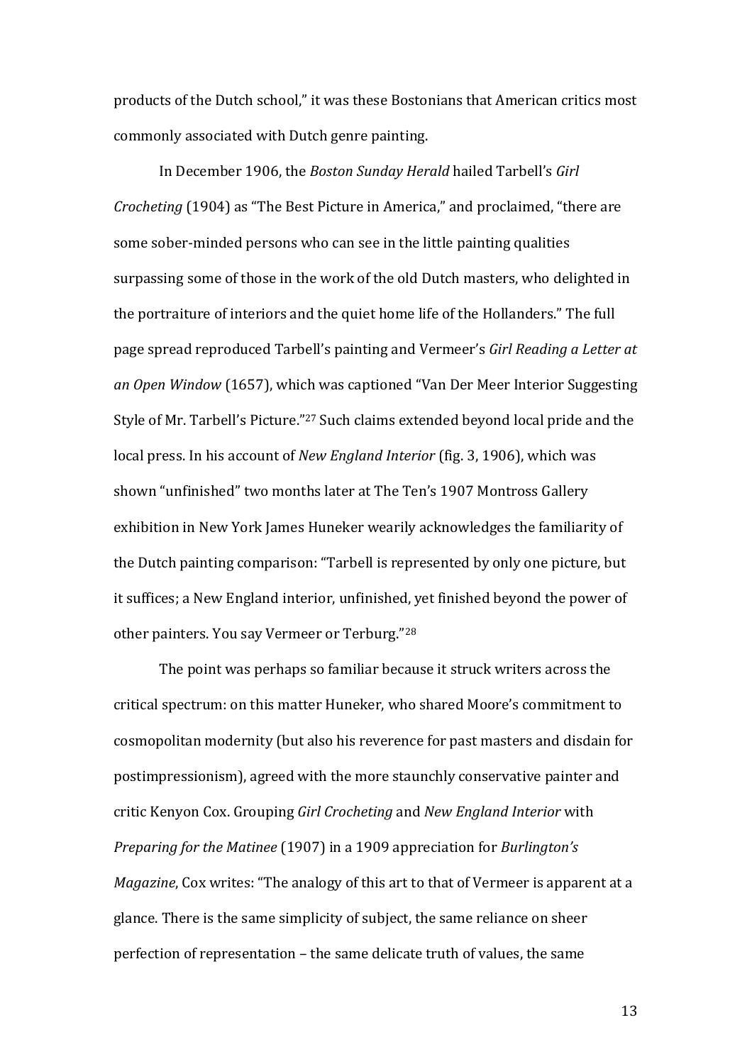products of the Dutch school," it was these Bostonians that American critics most commonly associated with Dutch genre painting.

In December 1906, the *Boston Sunday Herald* hailed Tarbell's *Girl Crocheting* (1904) as "The Best Picture in America," and proclaimed, "there are some sober-minded persons who can see in the little painting qualities surpassing some of those in the work of the old Dutch masters, who delighted in the portraiture of interiors and the quiet home life of the Hollanders." The full page spread reproduced Tarbell's painting and Vermeer's *Girl Reading a Letter at an Open Window* (1657), which was captioned "Van Der Meer Interior Suggesting Style of Mr. Tarbell's Picture." <sup>27</sup> Such claims extended beyond local pride and the local press. In his account of *New England Interior* (fig. 3, 1906), which was shown "unfinished" two months later at The Ten's 1907 Montross Gallery exhibition in New York James Huneker wearily acknowledges the familiarity of the Dutch painting comparison: "Tarbell is represented by only one picture, but it suffices; a New England interior, unfinished, yet finished beyond the power of other painters. You say Vermeer or Terburg."<sup>28</sup>

The point was perhaps so familiar because it struck writers across the critical spectrum: on this matter Huneker, who shared Moore's commitment to cosmopolitan modernity (but also his reverence for past masters and disdain for postimpressionism), agreed with the more staunchly conservative painter and critic Kenyon Cox. Grouping *Girl Crocheting* and *New England Interior* with *Preparing for the Matinee* (1907) in a 1909 appreciation for *Burlington's Magazine*, Cox writes: "The analogy of this art to that of Vermeer is apparent at a glance. There is the same simplicity of subject, the same reliance on sheer perfection of representation – the same delicate truth of values, the same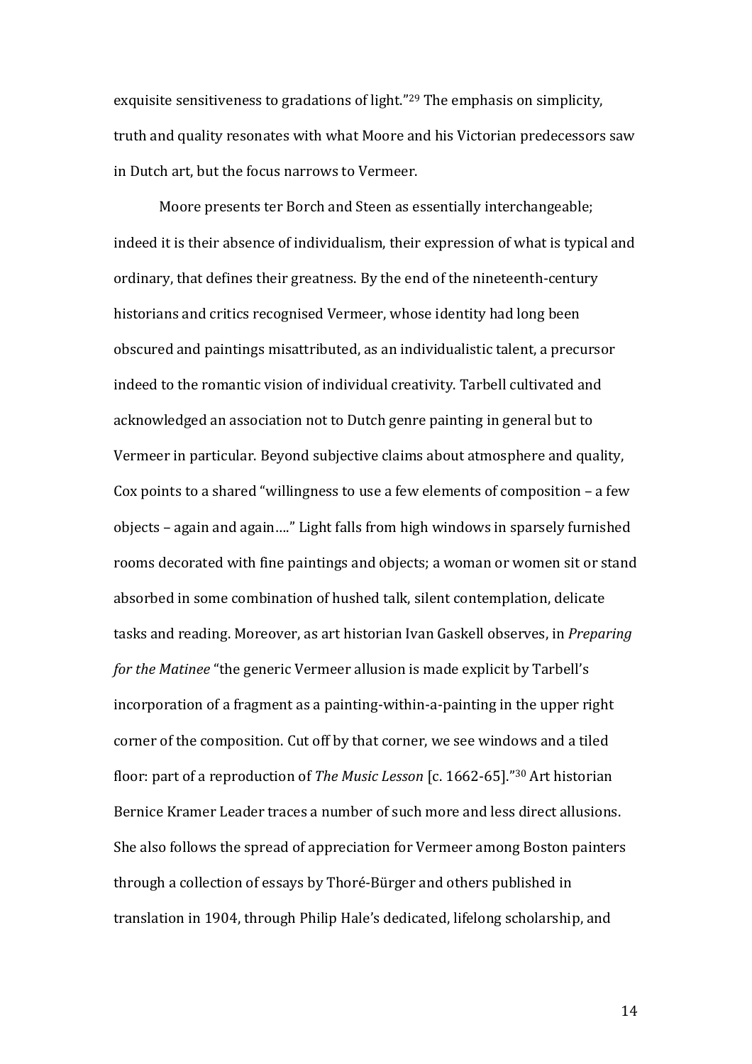exquisite sensitiveness to gradations of light." <sup>29</sup> The emphasis on simplicity, truth and quality resonates with what Moore and his Victorian predecessors saw in Dutch art, but the focus narrows to Vermeer.

Moore presents ter Borch and Steen as essentially interchangeable; indeed it is their absence of individualism, their expression of what is typical and ordinary, that defines their greatness. By the end of the nineteenth-century historians and critics recognised Vermeer, whose identity had long been obscured and paintings misattributed, as an individualistic talent, a precursor indeed to the romantic vision of individual creativity. Tarbell cultivated and acknowledged an association not to Dutch genre painting in general but to Vermeer in particular. Beyond subjective claims about atmosphere and quality, Cox points to a shared "willingness to use a few elements of composition – a few objects – again and again…." Light falls from high windows in sparsely furnished rooms decorated with fine paintings and objects; a woman or women sit or stand absorbed in some combination of hushed talk, silent contemplation, delicate tasks and reading. Moreover, as art historian Ivan Gaskell observes, in *Preparing for the Matinee* "the generic Vermeer allusion is made explicit by Tarbell's incorporation of a fragment as a painting-within-a-painting in the upper right corner of the composition. Cut off by that corner, we see windows and a tiled floor: part of a reproduction of *The Music Lesson* [c. 1662-65]."<sup>30</sup> Art historian Bernice Kramer Leader traces a number of such more and less direct allusions. She also follows the spread of appreciation for Vermeer among Boston painters through a collection of essays by Thoré-Bürger and others published in translation in 1904, through Philip Hale's dedicated, lifelong scholarship, and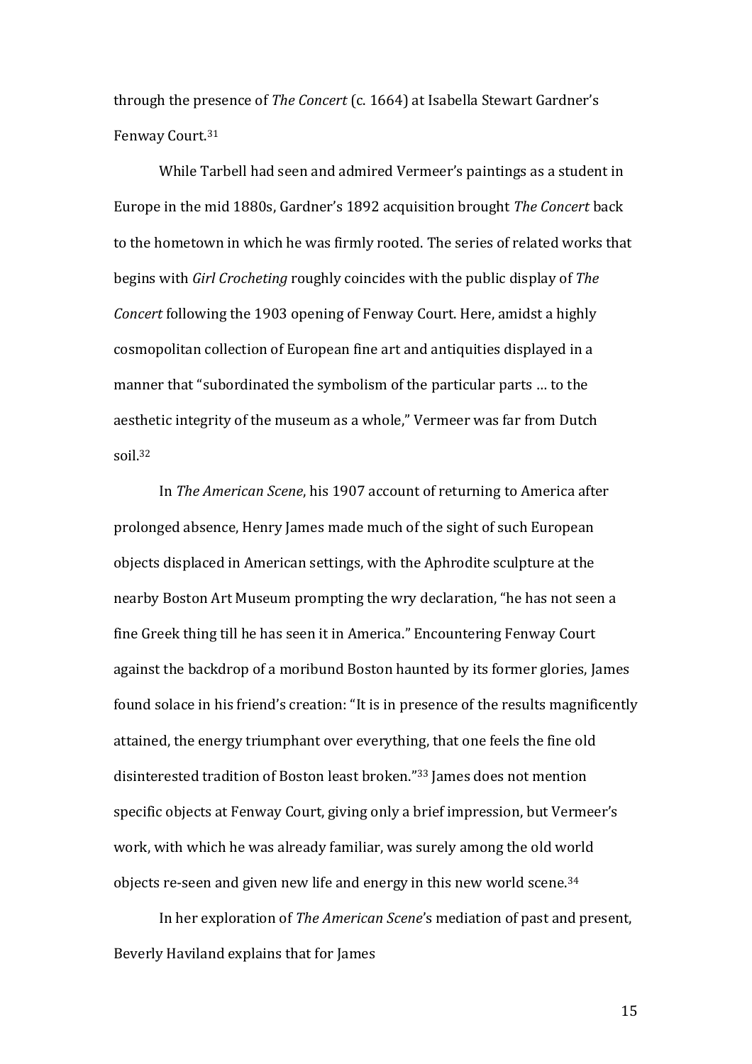through the presence of *The Concert* (c. 1664) at Isabella Stewart Gardner's Fenway Court. 31

While Tarbell had seen and admired Vermeer's paintings as a student in Europe in the mid 1880s, Gardner's 1892 acquisition brought *The Concert* back to the hometown in which he was firmly rooted. The series of related works that begins with *Girl Crocheting* roughly coincides with the public display of *The Concert* following the 1903 opening of Fenway Court. Here, amidst a highly cosmopolitan collection of European fine art and antiquities displayed in a manner that "subordinated the symbolism of the particular parts … to the aesthetic integrity of the museum as a whole," Vermeer was far from Dutch soil.<sup>32</sup>

In *The American Scene*, his 1907 account of returning to America after prolonged absence, Henry James made much of the sight of such European objects displaced in American settings, with the Aphrodite sculpture at the nearby Boston Art Museum prompting the wry declaration, "he has not seen a fine Greek thing till he has seen it in America." Encountering Fenway Court against the backdrop of a moribund Boston haunted by its former glories, James found solace in his friend's creation: "It is in presence of the results magnificently attained, the energy triumphant over everything, that one feels the fine old disinterested tradition of Boston least broken." <sup>33</sup> James does not mention specific objects at Fenway Court, giving only a brief impression, but Vermeer's work, with which he was already familiar, was surely among the old world objects re-seen and given new life and energy in this new world scene. 34

In her exploration of *The American Scene*'s mediation of past and present, Beverly Haviland explains that for James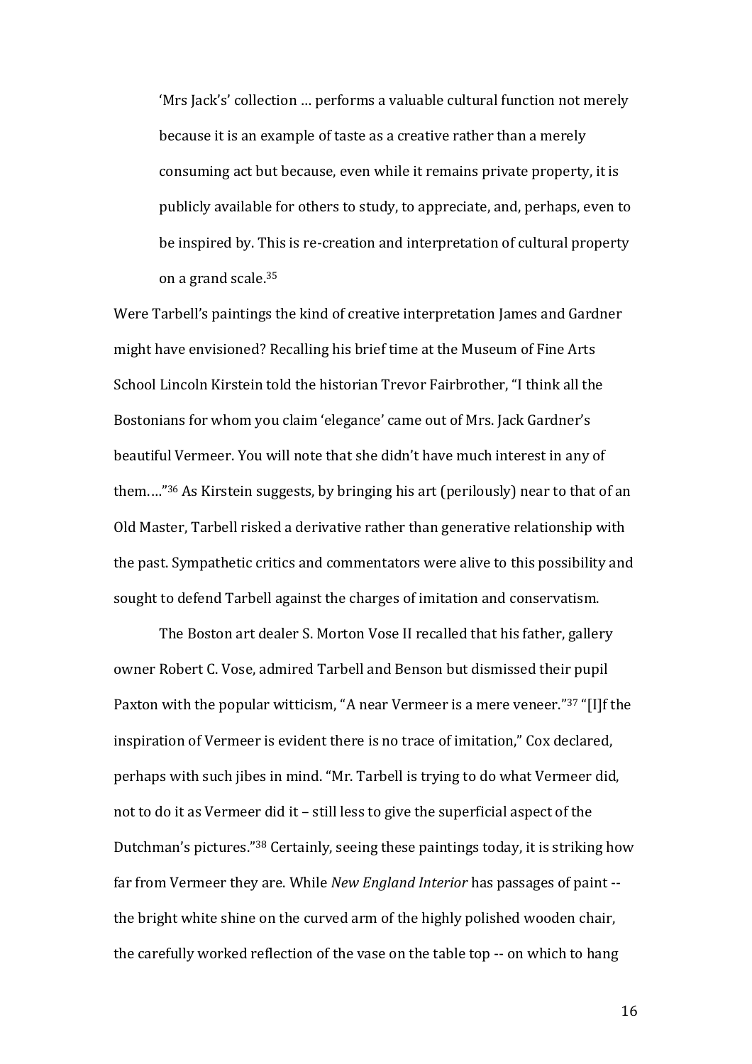'Mrs Jack's' collection … performs a valuable cultural function not merely because it is an example of taste as a creative rather than a merely consuming act but because, even while it remains private property, it is publicly available for others to study, to appreciate, and, perhaps, even to be inspired by. This is re-creation and interpretation of cultural property on a grand scale.<sup>35</sup>

Were Tarbell's paintings the kind of creative interpretation James and Gardner might have envisioned? Recalling his brief time at the Museum of Fine Arts School Lincoln Kirstein told the historian Trevor Fairbrother, "I think all the Bostonians for whom you claim 'elegance' came out of Mrs. Jack Gardner's beautiful Vermeer. You will note that she didn't have much interest in any of them.…"<sup>36</sup> As Kirstein suggests, by bringing his art (perilously) near to that of an Old Master, Tarbell risked a derivative rather than generative relationship with the past. Sympathetic critics and commentators were alive to this possibility and sought to defend Tarbell against the charges of imitation and conservatism.

The Boston art dealer S. Morton Vose II recalled that his father, gallery owner Robert C. Vose, admired Tarbell and Benson but dismissed their pupil Paxton with the popular witticism, "A near Vermeer is a mere veneer."<sup>37</sup> "[I]f the inspiration of Vermeer is evident there is no trace of imitation," Cox declared, perhaps with such jibes in mind. "Mr. Tarbell is trying to do what Vermeer did, not to do it as Vermeer did it – still less to give the superficial aspect of the Dutchman's pictures."<sup>38</sup> Certainly, seeing these paintings today, it is striking how far from Vermeer they are. While *New England Interior* has passages of paint - the bright white shine on the curved arm of the highly polished wooden chair, the carefully worked reflection of the vase on the table top -- on which to hang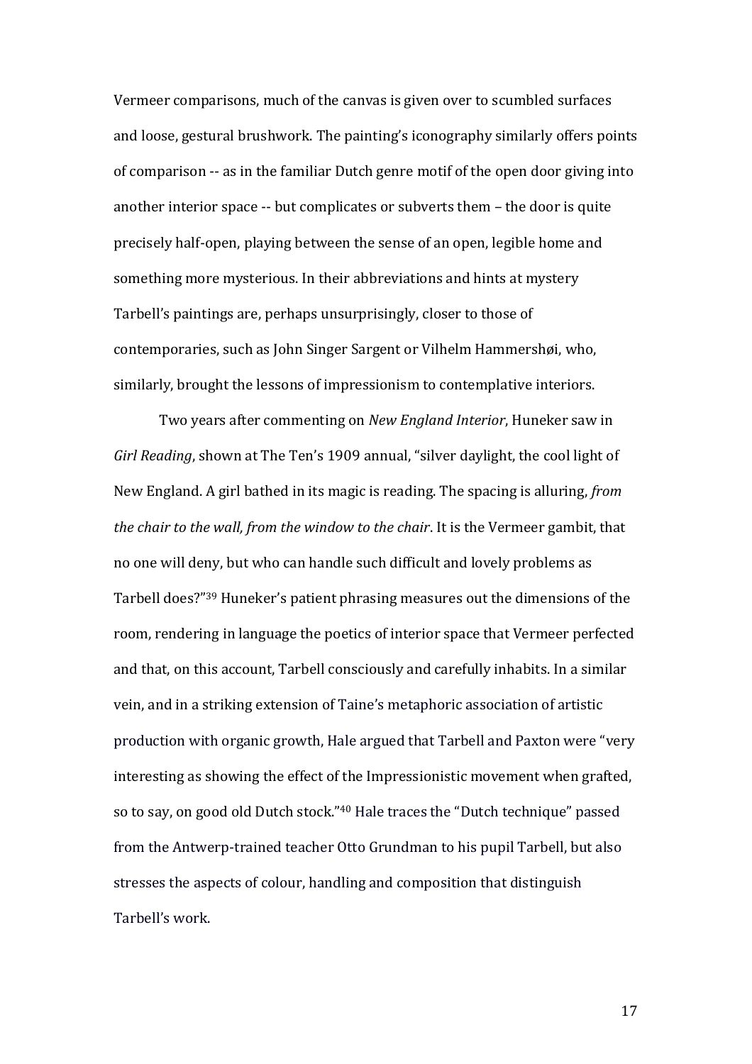Vermeer comparisons, much of the canvas is given over to scumbled surfaces and loose, gestural brushwork. The painting's iconography similarly offers points of comparison -- as in the familiar Dutch genre motif of the open door giving into another interior space -- but complicates or subverts them – the door is quite precisely half-open, playing between the sense of an open, legible home and something more mysterious. In their abbreviations and hints at mystery Tarbell's paintings are, perhaps unsurprisingly, closer to those of contemporaries, such as John Singer Sargent or Vilhelm Hammershøi, who, similarly, brought the lessons of impressionism to contemplative interiors.

Two years after commenting on *New England Interior*, Huneker saw in *Girl Reading*, shown at The Ten's 1909 annual, "silver daylight, the cool light of New England. A girl bathed in its magic is reading. The spacing is alluring, *from the chair to the wall, from the window to the chair*. It is the Vermeer gambit, that no one will deny, but who can handle such difficult and lovely problems as Tarbell does?" <sup>39</sup> Huneker's patient phrasing measures out the dimensions of the room, rendering in language the poetics of interior space that Vermeer perfected and that, on this account, Tarbell consciously and carefully inhabits. In a similar vein, and in a striking extension of Taine's metaphoric association of artistic production with organic growth, Hale argued that Tarbell and Paxton were "very interesting as showing the effect of the Impressionistic movement when grafted, so to say, on good old Dutch stock."<sup>40</sup> Hale traces the "Dutch technique" passed from the Antwerp-trained teacher Otto Grundman to his pupil Tarbell, but also stresses the aspects of colour, handling and composition that distinguish Tarbell's work.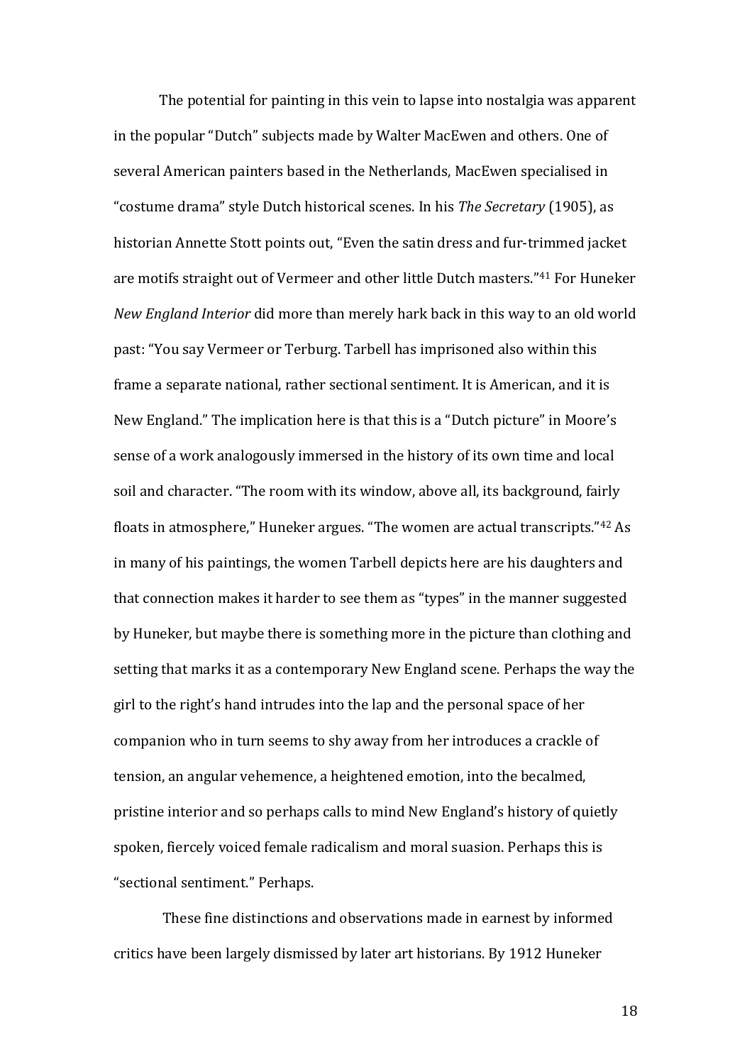The potential for painting in this vein to lapse into nostalgia was apparent in the popular "Dutch" subjects made by Walter MacEwen and others. One of several American painters based in the Netherlands, MacEwen specialised in "costume drama" style Dutch historical scenes. In his *The Secretary* (1905), as historian Annette Stott points out, "Even the satin dress and fur-trimmed jacket are motifs straight out of Vermeer and other little Dutch masters." <sup>41</sup> For Huneker *New England Interior* did more than merely hark back in this way to an old world past: "You say Vermeer or Terburg. Tarbell has imprisoned also within this frame a separate national, rather sectional sentiment. It is American, and it is New England." The implication here is that this is a "Dutch picture" in Moore's sense of a work analogously immersed in the history of its own time and local soil and character. "The room with its window, above all, its background, fairly floats in atmosphere," Huneker argues. "The women are actual transcripts."<sup>42</sup> As in many of his paintings, the women Tarbell depicts here are his daughters and that connection makes it harder to see them as "types" in the manner suggested by Huneker, but maybe there is something more in the picture than clothing and setting that marks it as a contemporary New England scene. Perhaps the way the girl to the right's hand intrudes into the lap and the personal space of her companion who in turn seems to shy away from her introduces a crackle of tension, an angular vehemence, a heightened emotion, into the becalmed, pristine interior and so perhaps calls to mind New England's history of quietly spoken, fiercely voiced female radicalism and moral suasion. Perhaps this is "sectional sentiment." Perhaps.

These fine distinctions and observations made in earnest by informed critics have been largely dismissed by later art historians. By 1912 Huneker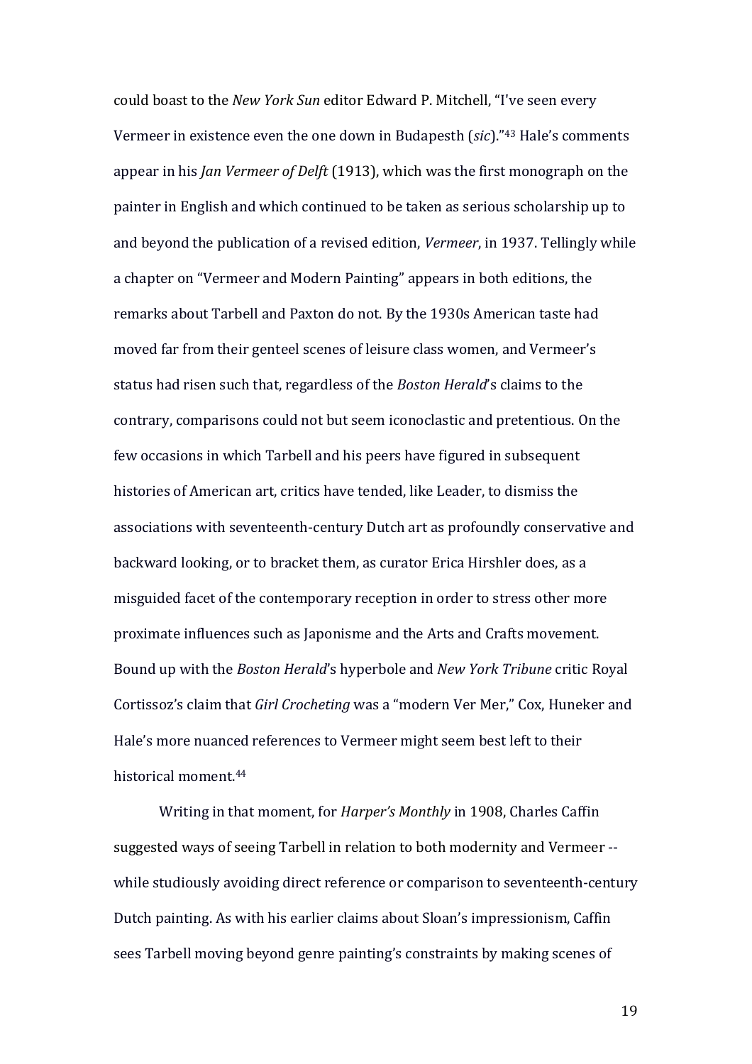could boast to the *New York Sun* editor Edward P. Mitchell, "I've seen every Vermeer in existence even the one down in Budapesth (*sic*)." <sup>43</sup> Hale's comments appear in his *Jan Vermeer of Delft* (1913), which was the first monograph on the painter in English and which continued to be taken as serious scholarship up to and beyond the publication of a revised edition, *Vermeer*, in 1937. Tellingly while a chapter on "Vermeer and Modern Painting" appears in both editions, the remarks about Tarbell and Paxton do not. By the 1930s American taste had moved far from their genteel scenes of leisure class women, and Vermeer's status had risen such that, regardless of the *Boston Herald*'s claims to the contrary, comparisons could not but seem iconoclastic and pretentious. On the few occasions in which Tarbell and his peers have figured in subsequent histories of American art, critics have tended, like Leader, to dismiss the associations with seventeenth-century Dutch art as profoundly conservative and backward looking, or to bracket them, as curator Erica Hirshler does, as a misguided facet of the contemporary reception in order to stress other more proximate influences such as Japonisme and the Arts and Crafts movement. Bound up with the *Boston Herald*'s hyperbole and *New York Tribune* critic Royal Cortissoz's claim that *Girl Crocheting* was a "modern Ver Mer," Cox, Huneker and Hale's more nuanced references to Vermeer might seem best left to their historical moment.<sup>44</sup>

Writing in that moment, for *Harper's Monthly* in 1908, Charles Caffin suggested ways of seeing Tarbell in relation to both modernity and Vermeer - while studiously avoiding direct reference or comparison to seventeenth-century Dutch painting. As with his earlier claims about Sloan's impressionism, Caffin sees Tarbell moving beyond genre painting's constraints by making scenes of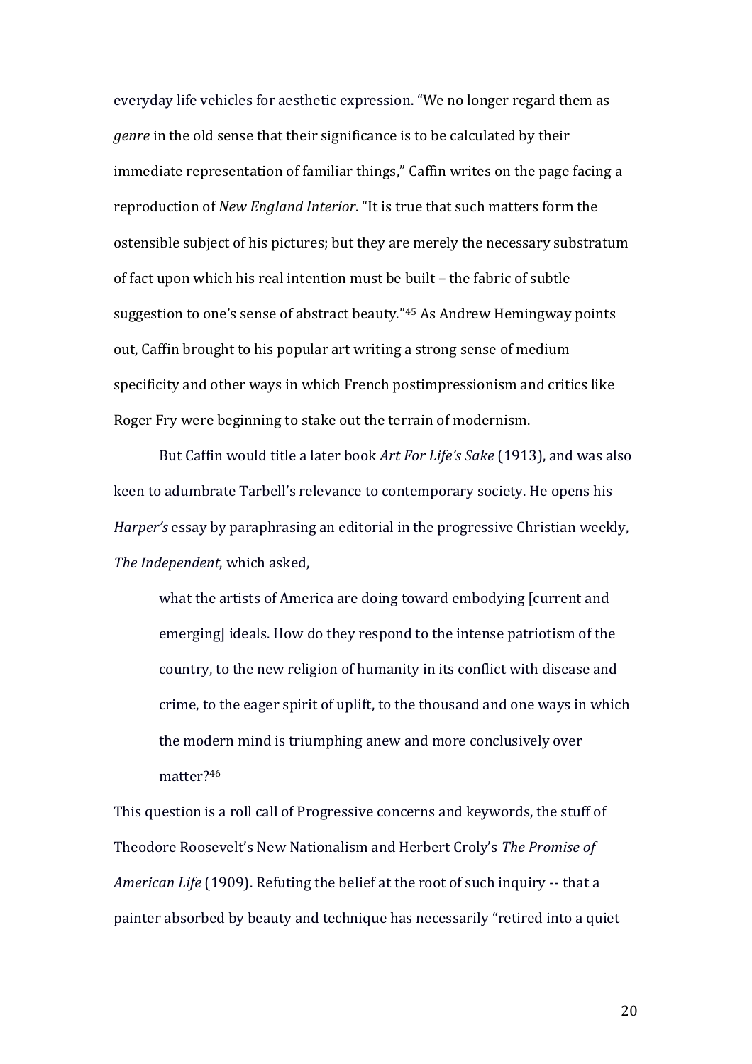everyday life vehicles for aesthetic expression. "We no longer regard them as *genre* in the old sense that their significance is to be calculated by their immediate representation of familiar things," Caffin writes on the page facing a reproduction of *New England Interior*. "It is true that such matters form the ostensible subject of his pictures; but they are merely the necessary substratum of fact upon which his real intention must be built – the fabric of subtle suggestion to one's sense of abstract beauty."<sup>45</sup> As Andrew Hemingway points out, Caffin brought to his popular art writing a strong sense of medium specificity and other ways in which French postimpressionism and critics like Roger Fry were beginning to stake out the terrain of modernism.

But Caffin would title a later book *Art For Life's Sake* (1913), and was also keen to adumbrate Tarbell's relevance to contemporary society. He opens his *Harper's* essay by paraphrasing an editorial in the progressive Christian weekly, *The Independent*, which asked,

what the artists of America are doing toward embodying [current and emerging] ideals. How do they respond to the intense patriotism of the country, to the new religion of humanity in its conflict with disease and crime, to the eager spirit of uplift, to the thousand and one ways in which the modern mind is triumphing anew and more conclusively over matter?<sup>46</sup>

This question is a roll call of Progressive concerns and keywords, the stuff of Theodore Roosevelt's New Nationalism and Herbert Croly's *The Promise of American Life* (1909). Refuting the belief at the root of such inquiry -- that a painter absorbed by beauty and technique has necessarily "retired into a quiet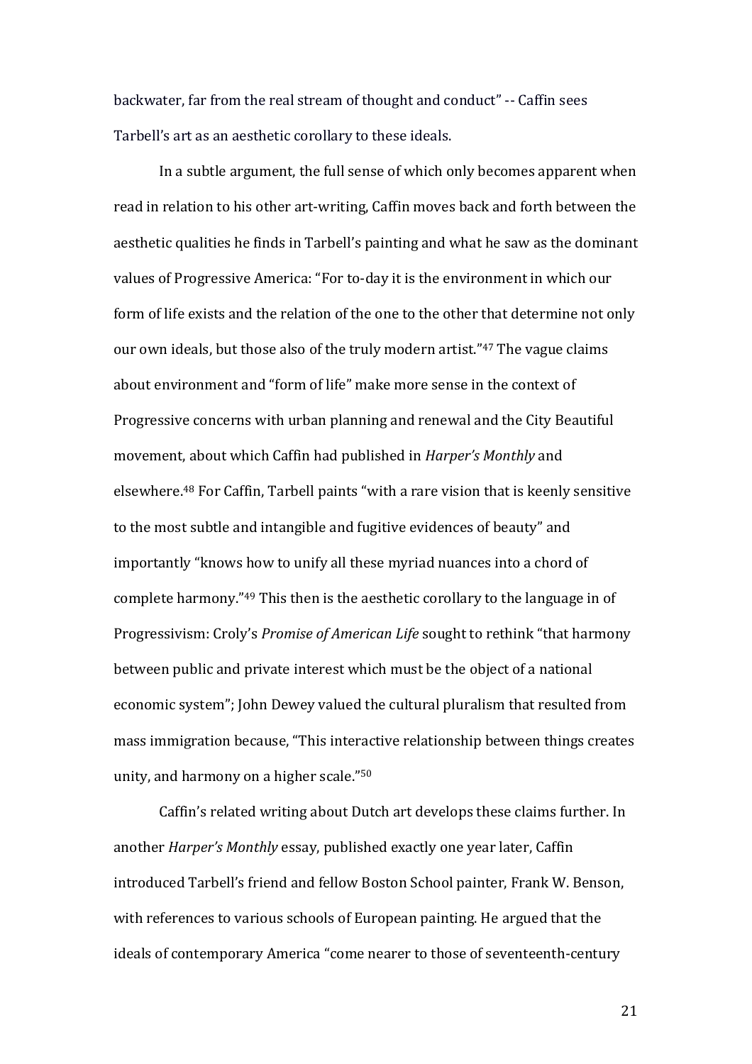backwater, far from the real stream of thought and conduct" -- Caffin sees Tarbell's art as an aesthetic corollary to these ideals.

In a subtle argument, the full sense of which only becomes apparent when read in relation to his other art-writing, Caffin moves back and forth between the aesthetic qualities he finds in Tarbell's painting and what he saw as the dominant values of Progressive America: "For to-day it is the environment in which our form of life exists and the relation of the one to the other that determine not only our own ideals, but those also of the truly modern artist." <sup>47</sup> The vague claims about environment and "form of life" make more sense in the context of Progressive concerns with urban planning and renewal and the City Beautiful movement, about which Caffin had published in *Harper's Monthly* and elsewhere.<sup>48</sup> For Caffin, Tarbell paints "with a rare vision that is keenly sensitive to the most subtle and intangible and fugitive evidences of beauty" and importantly "knows how to unify all these myriad nuances into a chord of complete harmony."<sup>49</sup> This then is the aesthetic corollary to the language in of Progressivism: Croly's *Promise of American Life* sought to rethink "that harmony between public and private interest which must be the object of a national economic system"; John Dewey valued the cultural pluralism that resulted from mass immigration because, "This interactive relationship between things creates unity, and harmony on a higher scale."<sup>50</sup>

Caffin's related writing about Dutch art develops these claims further. In another *Harper's Monthly* essay, published exactly one year later, Caffin introduced Tarbell's friend and fellow Boston School painter, Frank W. Benson, with references to various schools of European painting. He argued that the ideals of contemporary America "come nearer to those of seventeenth-century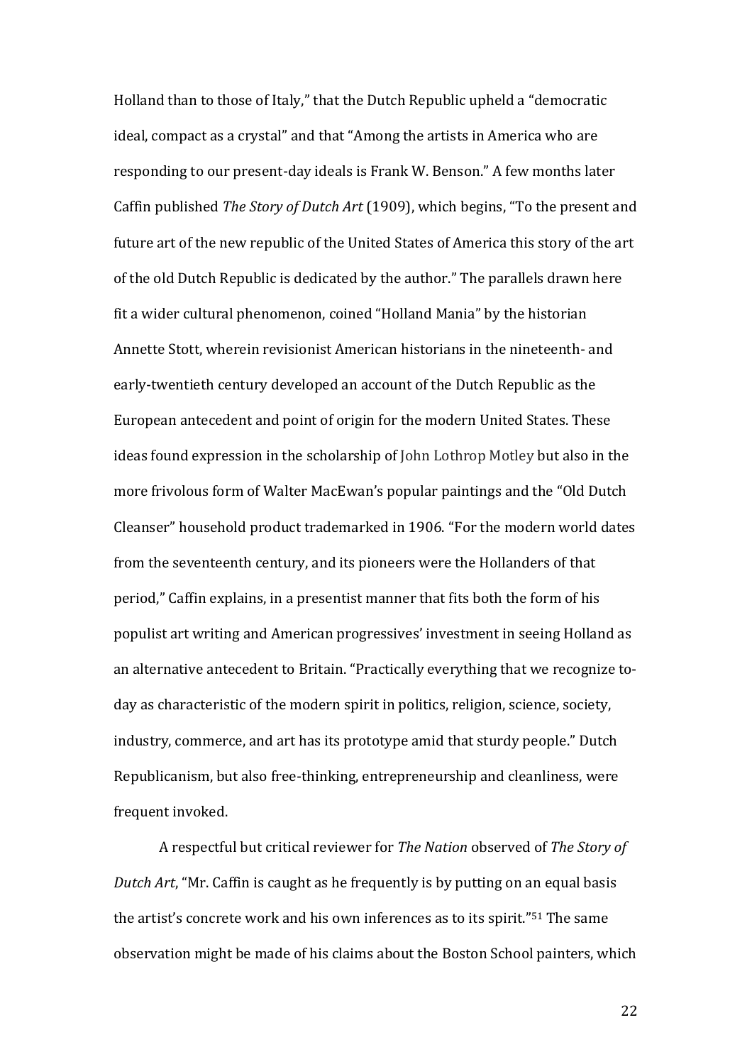Holland than to those of Italy," that the Dutch Republic upheld a "democratic ideal, compact as a crystal" and that "Among the artists in America who are responding to our present-day ideals is Frank W. Benson." A few months later Caffin published *The Story of Dutch Art* (1909), which begins, "To the present and future art of the new republic of the United States of America this story of the art of the old Dutch Republic is dedicated by the author." The parallels drawn here fit a wider cultural phenomenon, coined "Holland Mania" by the historian Annette Stott, wherein revisionist American historians in the nineteenth- and early-twentieth century developed an account of the Dutch Republic as the European antecedent and point of origin for the modern United States. These ideas found expression in the scholarship of John Lothrop Motley but also in the more frivolous form of Walter MacEwan's popular paintings and the "Old Dutch Cleanser" household product trademarked in 1906. "For the modern world dates from the seventeenth century, and its pioneers were the Hollanders of that period," Caffin explains, in a presentist manner that fits both the form of his populist art writing and American progressives' investment in seeing Holland as an alternative antecedent to Britain. "Practically everything that we recognize today as characteristic of the modern spirit in politics, religion, science, society, industry, commerce, and art has its prototype amid that sturdy people." Dutch Republicanism, but also free-thinking, entrepreneurship and cleanliness, were frequent invoked.

A respectful but critical reviewer for *The Nation* observed of *The Story of Dutch Art*, "Mr. Caffin is caught as he frequently is by putting on an equal basis the artist's concrete work and his own inferences as to its spirit."<sup>51</sup> The same observation might be made of his claims about the Boston School painters, which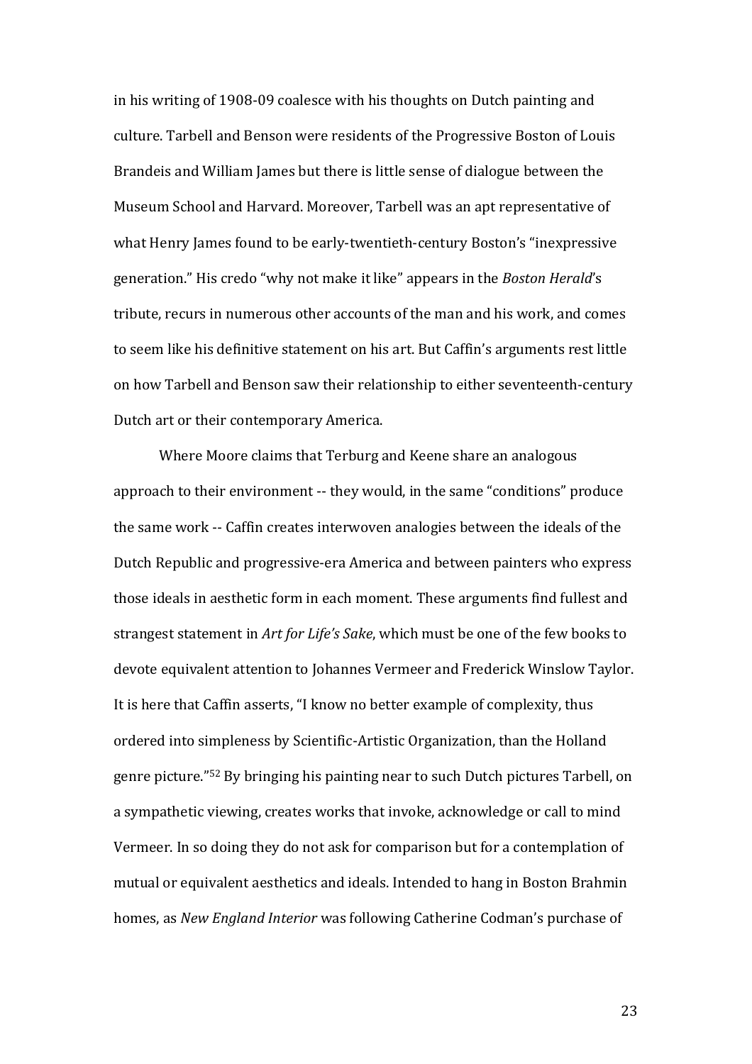in his writing of 1908-09 coalesce with his thoughts on Dutch painting and culture. Tarbell and Benson were residents of the Progressive Boston of Louis Brandeis and William James but there is little sense of dialogue between the Museum School and Harvard. Moreover, Tarbell was an apt representative of what Henry James found to be early-twentieth-century Boston's "inexpressive generation." His credo "why not make it like" appears in the *Boston Herald*'s tribute, recurs in numerous other accounts of the man and his work, and comes to seem like his definitive statement on his art. But Caffin's arguments rest little on how Tarbell and Benson saw their relationship to either seventeenth-century Dutch art or their contemporary America.

Where Moore claims that Terburg and Keene share an analogous approach to their environment -- they would, in the same "conditions" produce the same work -- Caffin creates interwoven analogies between the ideals of the Dutch Republic and progressive-era America and between painters who express those ideals in aesthetic form in each moment. These arguments find fullest and strangest statement in *Art for Life's Sake*, which must be one of the few books to devote equivalent attention to Johannes Vermeer and Frederick Winslow Taylor. It is here that Caffin asserts, "I know no better example of complexity, thus ordered into simpleness by Scientific-Artistic Organization, than the Holland genre picture."<sup>52</sup> By bringing his painting near to such Dutch pictures Tarbell, on a sympathetic viewing, creates works that invoke, acknowledge or call to mind Vermeer. In so doing they do not ask for comparison but for a contemplation of mutual or equivalent aesthetics and ideals. Intended to hang in Boston Brahmin homes, as *New England Interior* was following Catherine Codman's purchase of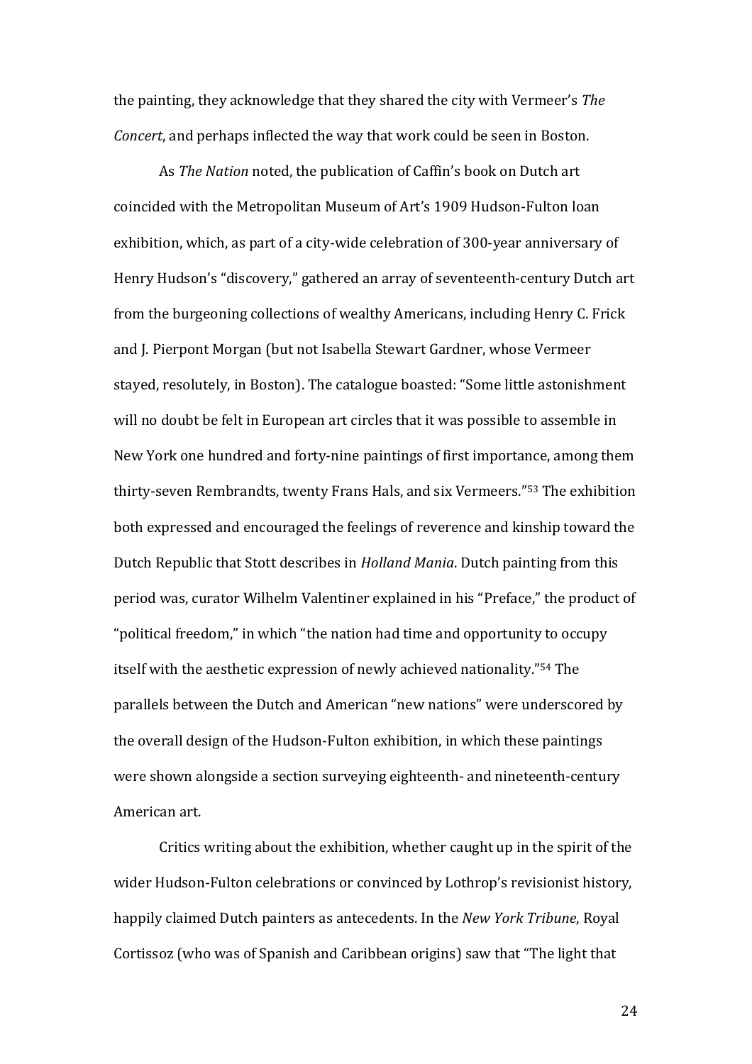the painting, they acknowledge that they shared the city with Vermeer's *The Concert*, and perhaps inflected the way that work could be seen in Boston.

As *The Nation* noted, the publication of Caffin's book on Dutch art coincided with the Metropolitan Museum of Art's 1909 Hudson-Fulton loan exhibition, which, as part of a city-wide celebration of 300-year anniversary of Henry Hudson's "discovery," gathered an array of seventeenth-century Dutch art from the burgeoning collections of wealthy Americans, including Henry C. Frick and J. Pierpont Morgan (but not Isabella Stewart Gardner, whose Vermeer stayed, resolutely, in Boston). The catalogue boasted: "Some little astonishment will no doubt be felt in European art circles that it was possible to assemble in New York one hundred and forty-nine paintings of first importance, among them thirty-seven Rembrandts, twenty Frans Hals, and six Vermeers." <sup>53</sup> The exhibition both expressed and encouraged the feelings of reverence and kinship toward the Dutch Republic that Stott describes in *Holland Mania*. Dutch painting from this period was, curator Wilhelm Valentiner explained in his "Preface," the product of "political freedom," in which "the nation had time and opportunity to occupy itself with the aesthetic expression of newly achieved nationality."<sup>54</sup> The parallels between the Dutch and American "new nations" were underscored by the overall design of the Hudson-Fulton exhibition, in which these paintings were shown alongside a section surveying eighteenth- and nineteenth-century American art.

Critics writing about the exhibition, whether caught up in the spirit of the wider Hudson-Fulton celebrations or convinced by Lothrop's revisionist history, happily claimed Dutch painters as antecedents. In the *New York Tribune*, Royal Cortissoz (who was of Spanish and Caribbean origins) saw that "The light that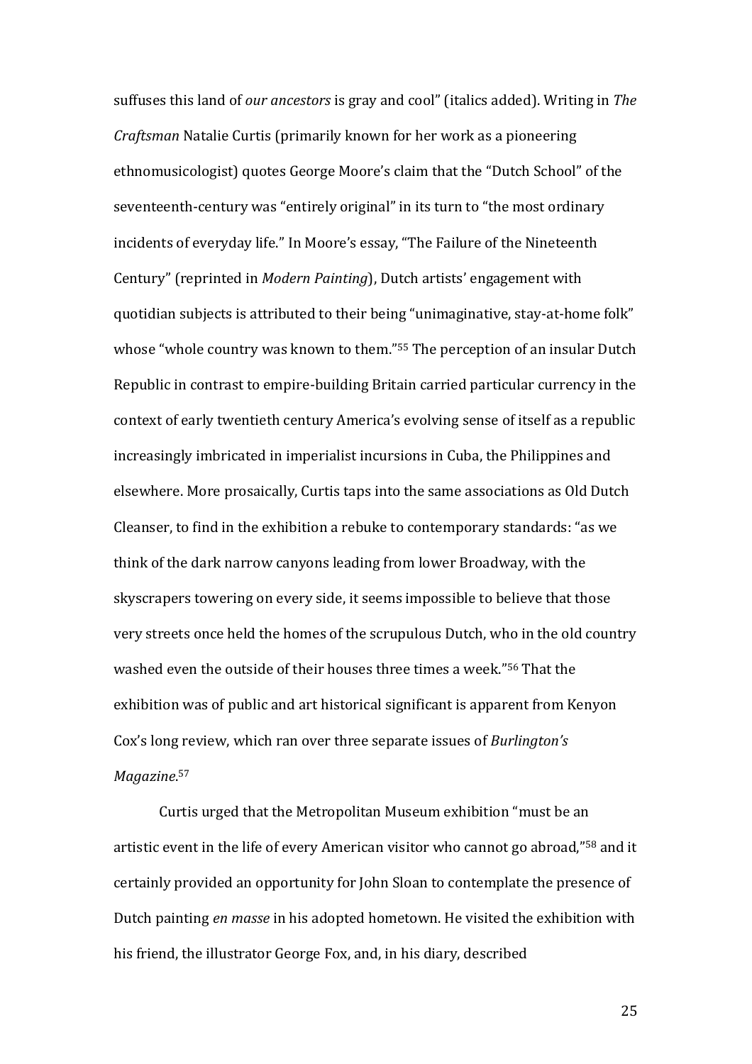suffuses this land of *our ancestors* is gray and cool" (italics added). Writing in *The Craftsman* Natalie Curtis (primarily known for her work as a pioneering ethnomusicologist) quotes George Moore's claim that the "Dutch School" of the seventeenth-century was "entirely original" in its turn to "the most ordinary incidents of everyday life." In Moore's essay, "The Failure of the Nineteenth Century" (reprinted in *Modern Painting*), Dutch artists' engagement with quotidian subjects is attributed to their being "unimaginative, stay-at-home folk" whose "whole country was known to them."<sup>55</sup> The perception of an insular Dutch Republic in contrast to empire-building Britain carried particular currency in the context of early twentieth century America's evolving sense of itself as a republic increasingly imbricated in imperialist incursions in Cuba, the Philippines and elsewhere. More prosaically, Curtis taps into the same associations as Old Dutch Cleanser, to find in the exhibition a rebuke to contemporary standards: "as we think of the dark narrow canyons leading from lower Broadway, with the skyscrapers towering on every side, it seems impossible to believe that those very streets once held the homes of the scrupulous Dutch, who in the old country washed even the outside of their houses three times a week."<sup>56</sup> That the exhibition was of public and art historical significant is apparent from Kenyon Cox's long review, which ran over three separate issues of *Burlington's Magazine*. 57

Curtis urged that the Metropolitan Museum exhibition "must be an artistic event in the life of every American visitor who cannot go abroad," <sup>58</sup> and it certainly provided an opportunity for John Sloan to contemplate the presence of Dutch painting *en masse* in his adopted hometown. He visited the exhibition with his friend, the illustrator George Fox, and, in his diary, described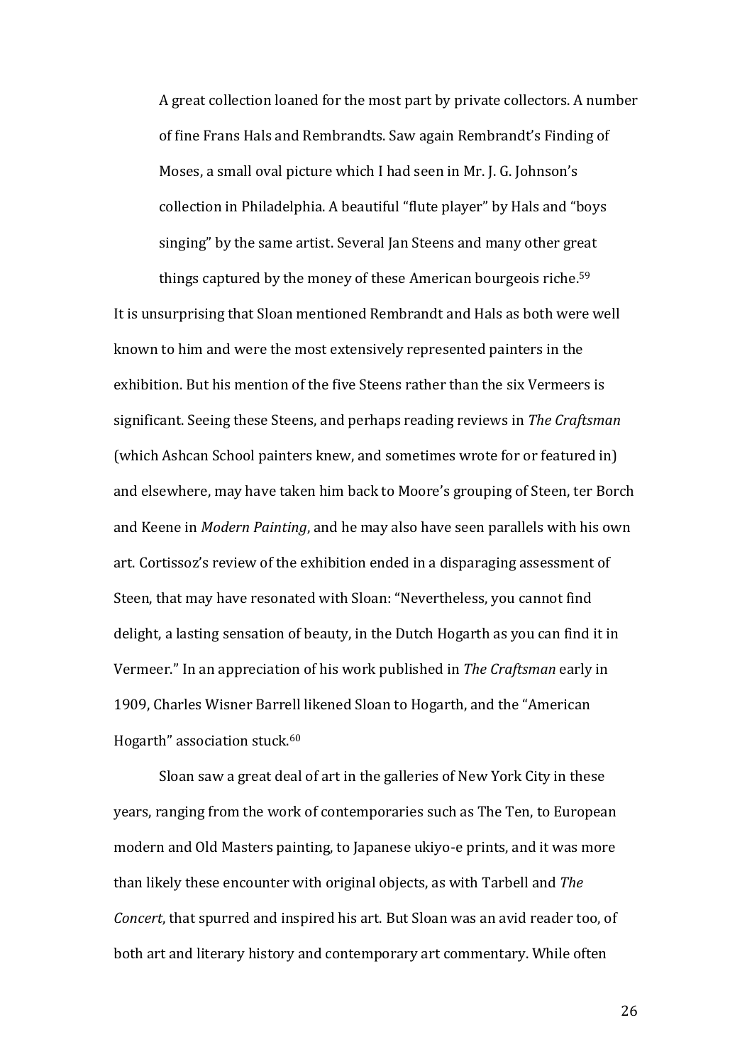A great collection loaned for the most part by private collectors. A number of fine Frans Hals and Rembrandts. Saw again Rembrandt's Finding of Moses, a small oval picture which I had seen in Mr. J. G. Johnson's collection in Philadelphia. A beautiful "flute player" by Hals and "boys singing" by the same artist. Several Jan Steens and many other great

things captured by the money of these American bourgeois riche.<sup>59</sup> It is unsurprising that Sloan mentioned Rembrandt and Hals as both were well known to him and were the most extensively represented painters in the exhibition. But his mention of the five Steens rather than the six Vermeers is significant. Seeing these Steens, and perhaps reading reviews in *The Craftsman*  (which Ashcan School painters knew, and sometimes wrote for or featured in) and elsewhere, may have taken him back to Moore's grouping of Steen, ter Borch and Keene in *Modern Painting*, and he may also have seen parallels with his own art. Cortissoz's review of the exhibition ended in a disparaging assessment of Steen, that may have resonated with Sloan: "Nevertheless, you cannot find delight, a lasting sensation of beauty, in the Dutch Hogarth as you can find it in Vermeer." In an appreciation of his work published in *The Craftsman* early in 1909, Charles Wisner Barrell likened Sloan to Hogarth, and the "American Hogarth" association stuck.<sup>60</sup>

Sloan saw a great deal of art in the galleries of New York City in these years, ranging from the work of contemporaries such as The Ten, to European modern and Old Masters painting, to Japanese ukiyo-e prints, and it was more than likely these encounter with original objects, as with Tarbell and *The Concert*, that spurred and inspired his art. But Sloan was an avid reader too, of both art and literary history and contemporary art commentary. While often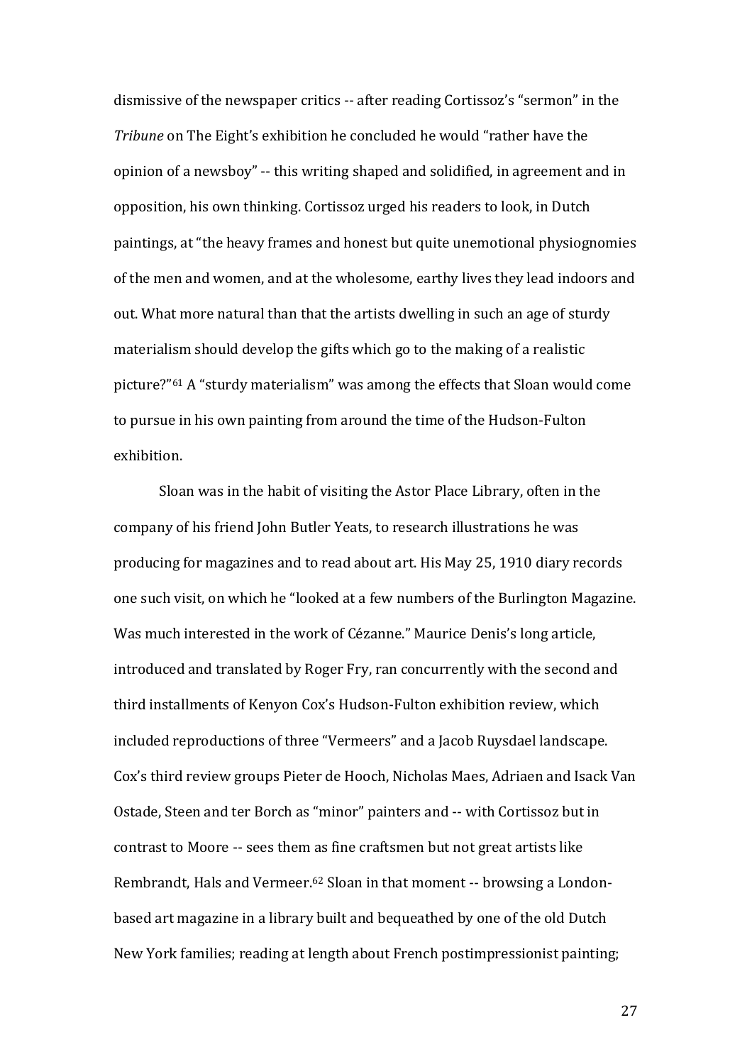dismissive of the newspaper critics -- after reading Cortissoz's "sermon" in the *Tribune* on The Eight's exhibition he concluded he would "rather have the opinion of a newsboy" -- this writing shaped and solidified, in agreement and in opposition, his own thinking. Cortissoz urged his readers to look, in Dutch paintings, at "the heavy frames and honest but quite unemotional physiognomies of the men and women, and at the wholesome, earthy lives they lead indoors and out. What more natural than that the artists dwelling in such an age of sturdy materialism should develop the gifts which go to the making of a realistic picture?" <sup>61</sup> A "sturdy materialism" was among the effects that Sloan would come to pursue in his own painting from around the time of the Hudson-Fulton exhibition.

Sloan was in the habit of visiting the Astor Place Library, often in the company of his friend John Butler Yeats, to research illustrations he was producing for magazines and to read about art. His May 25, 1910 diary records one such visit, on which he "looked at a few numbers of the Burlington Magazine. Was much interested in the work of Cézanne." Maurice Denis's long article, introduced and translated by Roger Fry, ran concurrently with the second and third installments of Kenyon Cox's Hudson-Fulton exhibition review, which included reproductions of three "Vermeers" and a Jacob Ruysdael landscape. Cox's third review groups Pieter de Hooch, Nicholas Maes, Adriaen and Isack Van Ostade, Steen and ter Borch as "minor" painters and -- with Cortissoz but in contrast to Moore -- sees them as fine craftsmen but not great artists like Rembrandt, Hals and Vermeer.<sup>62</sup> Sloan in that moment -- browsing a Londonbased art magazine in a library built and bequeathed by one of the old Dutch New York families; reading at length about French postimpressionist painting;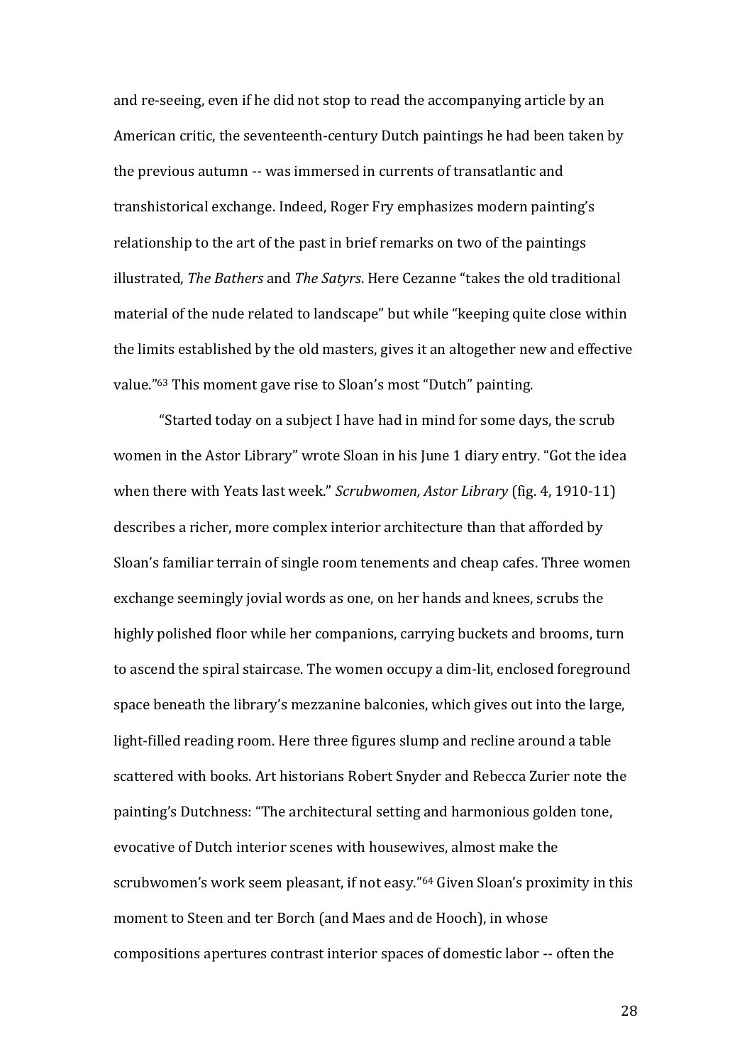and re-seeing, even if he did not stop to read the accompanying article by an American critic, the seventeenth-century Dutch paintings he had been taken by the previous autumn -- was immersed in currents of transatlantic and transhistorical exchange. Indeed, Roger Fry emphasizes modern painting's relationship to the art of the past in brief remarks on two of the paintings illustrated, *The Bathers* and *The Satyrs*. Here Cezanne "takes the old traditional material of the nude related to landscape" but while "keeping quite close within the limits established by the old masters, gives it an altogether new and effective value."<sup>63</sup> This moment gave rise to Sloan's most "Dutch" painting.

"Started today on a subject I have had in mind for some days, the scrub women in the Astor Library" wrote Sloan in his June 1 diary entry. "Got the idea when there with Yeats last week." *Scrubwomen, Astor Library* (fig. 4, 1910-11) describes a richer, more complex interior architecture than that afforded by Sloan's familiar terrain of single room tenements and cheap cafes. Three women exchange seemingly jovial words as one, on her hands and knees, scrubs the highly polished floor while her companions, carrying buckets and brooms, turn to ascend the spiral staircase. The women occupy a dim-lit, enclosed foreground space beneath the library's mezzanine balconies, which gives out into the large, light-filled reading room. Here three figures slump and recline around a table scattered with books. Art historians Robert Snyder and Rebecca Zurier note the painting's Dutchness: "The architectural setting and harmonious golden tone, evocative of Dutch interior scenes with housewives, almost make the scrubwomen's work seem pleasant, if not easy." <sup>64</sup> Given Sloan's proximity in this moment to Steen and ter Borch (and Maes and de Hooch), in whose compositions apertures contrast interior spaces of domestic labor -- often the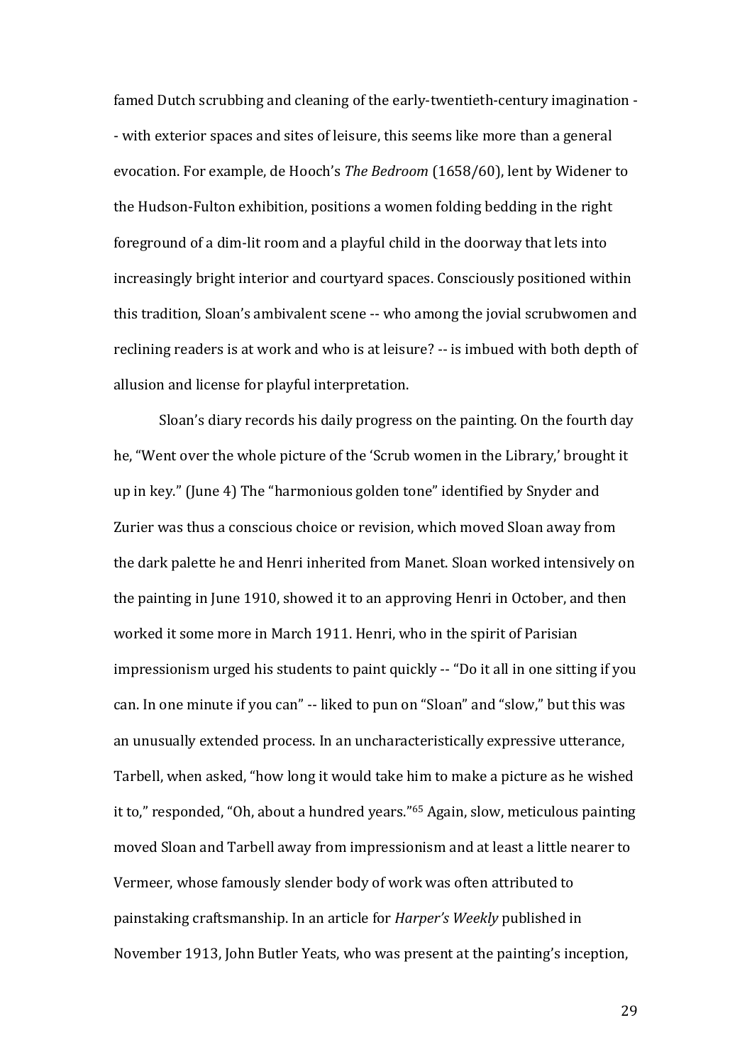famed Dutch scrubbing and cleaning of the early-twentieth-century imagination - - with exterior spaces and sites of leisure, this seems like more than a general evocation. For example, de Hooch's *The Bedroom* (1658/60), lent by Widener to the Hudson-Fulton exhibition, positions a women folding bedding in the right foreground of a dim-lit room and a playful child in the doorway that lets into increasingly bright interior and courtyard spaces. Consciously positioned within this tradition, Sloan's ambivalent scene -- who among the jovial scrubwomen and reclining readers is at work and who is at leisure? -- is imbued with both depth of allusion and license for playful interpretation.

Sloan's diary records his daily progress on the painting. On the fourth day he, "Went over the whole picture of the 'Scrub women in the Library,' brought it up in key." (June 4) The "harmonious golden tone" identified by Snyder and Zurier was thus a conscious choice or revision, which moved Sloan away from the dark palette he and Henri inherited from Manet. Sloan worked intensively on the painting in June 1910, showed it to an approving Henri in October, and then worked it some more in March 1911. Henri, who in the spirit of Parisian impressionism urged his students to paint quickly -- "Do it all in one sitting if you can. In one minute if you can" -- liked to pun on "Sloan" and "slow," but this was an unusually extended process. In an uncharacteristically expressive utterance, Tarbell, when asked, "how long it would take him to make a picture as he wished it to," responded, "Oh, about a hundred years."<sup>65</sup> Again, slow, meticulous painting moved Sloan and Tarbell away from impressionism and at least a little nearer to Vermeer, whose famously slender body of work was often attributed to painstaking craftsmanship. In an article for *Harper's Weekly* published in November 1913, John Butler Yeats, who was present at the painting's inception,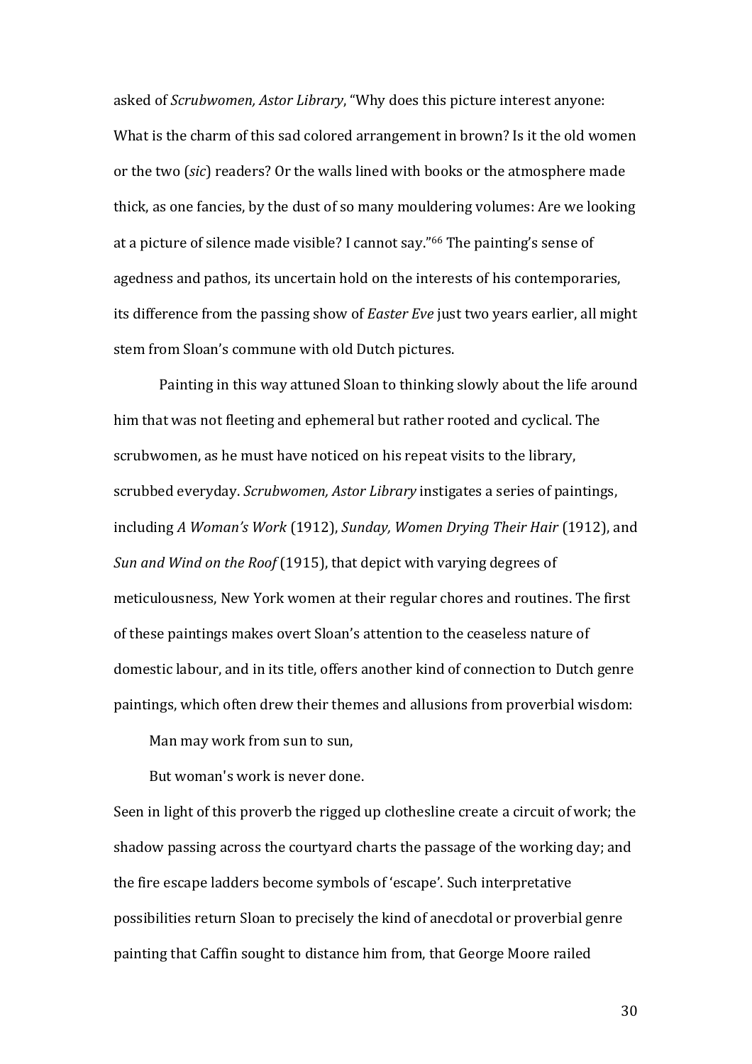asked of *Scrubwomen, Astor Library*, "Why does this picture interest anyone: What is the charm of this sad colored arrangement in brown? Is it the old women or the two (*sic*) readers? Or the walls lined with books or the atmosphere made thick, as one fancies, by the dust of so many mouldering volumes: Are we looking at a picture of silence made visible? I cannot say."<sup>66</sup> The painting's sense of agedness and pathos, its uncertain hold on the interests of his contemporaries, its difference from the passing show of *Easter Eve* just two years earlier, all might stem from Sloan's commune with old Dutch pictures.

Painting in this way attuned Sloan to thinking slowly about the life around him that was not fleeting and ephemeral but rather rooted and cyclical. The scrubwomen, as he must have noticed on his repeat visits to the library, scrubbed everyday. *Scrubwomen, Astor Library* instigates a series of paintings, including *A Woman's Work* (1912), *Sunday, Women Drying Their Hair* (1912), and *Sun and Wind on the Roof* (1915), that depict with varying degrees of meticulousness, New York women at their regular chores and routines. The first of these paintings makes overt Sloan's attention to the ceaseless nature of domestic labour, and in its title, offers another kind of connection to Dutch genre paintings, which often drew their themes and allusions from proverbial wisdom:

Man may work from sun to sun,

But woman's work is never done.

Seen in light of this proverb the rigged up clothesline create a circuit of work; the shadow passing across the courtyard charts the passage of the working day; and the fire escape ladders become symbols of 'escape'. Such interpretative possibilities return Sloan to precisely the kind of anecdotal or proverbial genre painting that Caffin sought to distance him from, that George Moore railed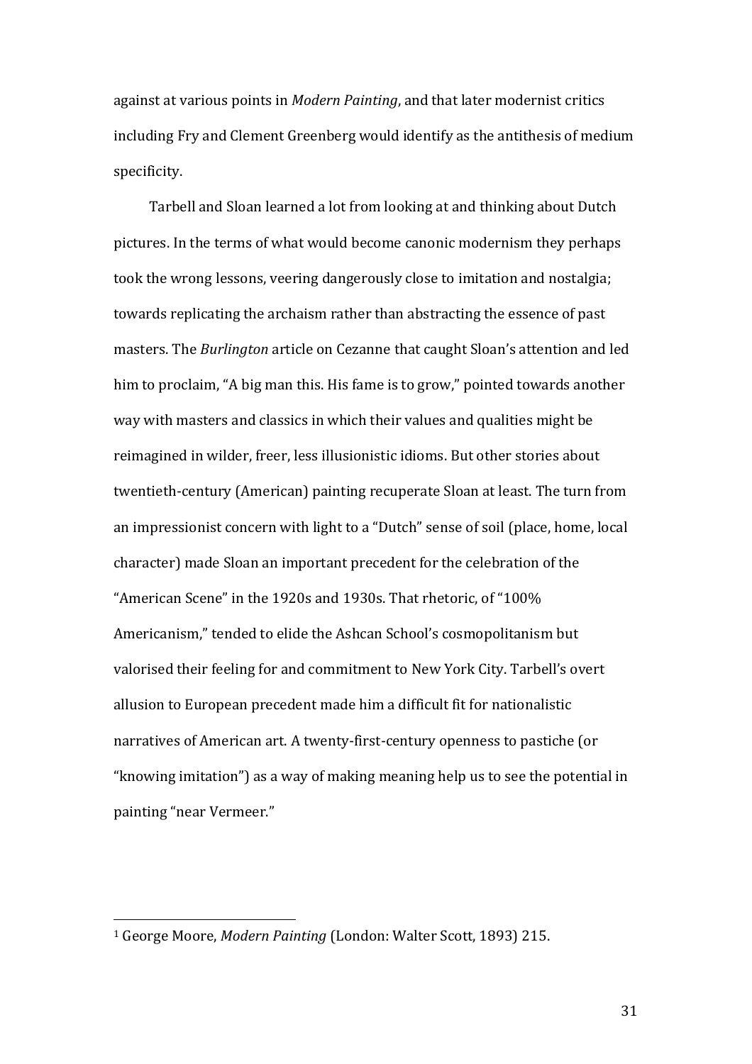against at various points in *Modern Painting*, and that later modernist critics including Fry and Clement Greenberg would identify as the antithesis of medium specificity.

Tarbell and Sloan learned a lot from looking at and thinking about Dutch pictures. In the terms of what would become canonic modernism they perhaps took the wrong lessons, veering dangerously close to imitation and nostalgia; towards replicating the archaism rather than abstracting the essence of past masters. The *Burlington* article on Cezanne that caught Sloan's attention and led him to proclaim, "A big man this. His fame is to grow," pointed towards another way with masters and classics in which their values and qualities might be reimagined in wilder, freer, less illusionistic idioms. But other stories about twentieth-century (American) painting recuperate Sloan at least. The turn from an impressionist concern with light to a "Dutch" sense of soil (place, home, local character) made Sloan an important precedent for the celebration of the "American Scene" in the 1920s and 1930s. That rhetoric, of "100% Americanism," tended to elide the Ashcan School's cosmopolitanism but valorised their feeling for and commitment to New York City. Tarbell's overt allusion to European precedent made him a difficult fit for nationalistic narratives of American art. A twenty-first-century openness to pastiche (or "knowing imitation") as a way of making meaning help us to see the potential in painting "near Vermeer."

 $\overline{a}$ 

<sup>1</sup> George Moore, *Modern Painting* (London: Walter Scott, 1893) 215.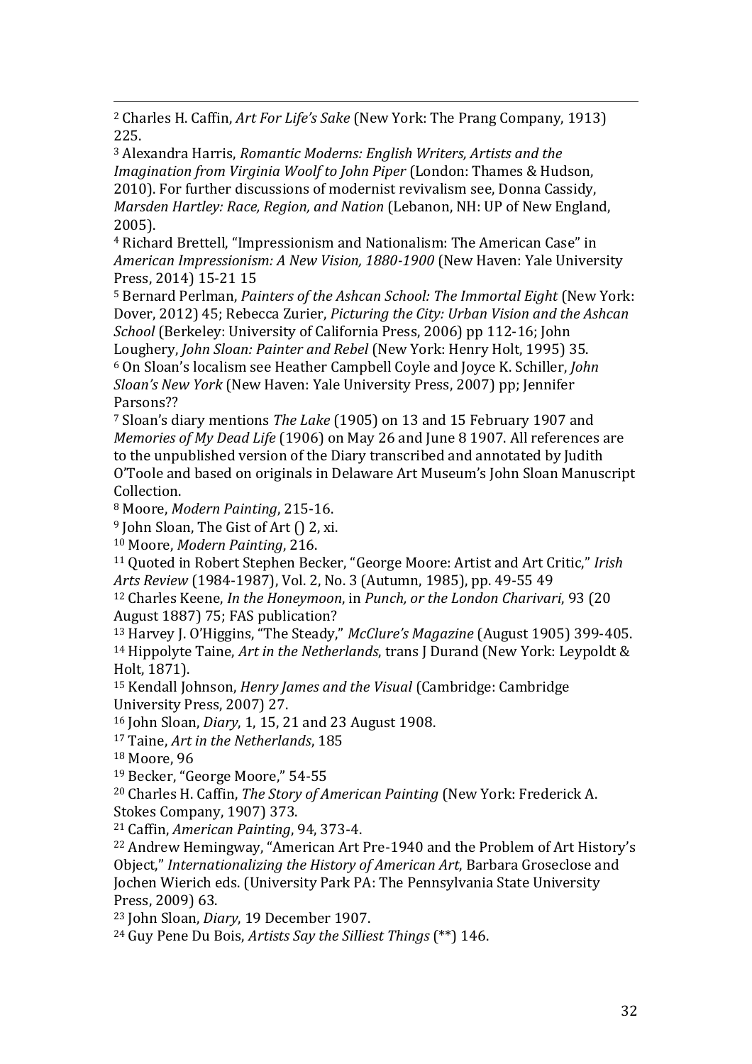$\overline{a}$ <sup>2</sup> Charles H. Caffin, *Art For Life's Sake* (New York: The Prang Company, 1913) 225.

<sup>3</sup> Alexandra Harris, *Romantic Moderns: English Writers, Artists and the Imagination from Virginia Woolf to John Piper* (London: Thames & Hudson, 2010). For further discussions of modernist revivalism see, Donna Cassidy, *Marsden Hartley: Race, Region, and Nation* (Lebanon, NH: UP of New England, 2005).

<sup>4</sup> Richard Brettell, "Impressionism and Nationalism: The American Case" in *American Impressionism: A New Vision, 1880-1900* (New Haven: Yale University Press, 2014) 15-21 15

<sup>5</sup> Bernard Perlman, *Painters of the Ashcan School: The Immortal Eight* (New York: Dover, 2012) 45; Rebecca Zurier, *Picturing the City: Urban Vision and the Ashcan School* (Berkeley: University of California Press, 2006) pp 112-16; John Loughery, *John Sloan: Painter and Rebel* (New York: Henry Holt, 1995) 35. <sup>6</sup> On Sloan's localism see Heather Campbell Coyle and Joyce K. Schiller, *John* 

*Sloan's New York* (New Haven: Yale University Press, 2007) pp; Jennifer Parsons??

<sup>7</sup> Sloan's diary mentions *The Lake* (1905) on 13 and 15 February 1907 and *Memories of My Dead Life* (1906) on May 26 and June 8 1907. All references are to the unpublished version of the Diary transcribed and annotated by Judith O'Toole and based on originals in Delaware Art Museum's John Sloan Manuscript Collection.

<sup>8</sup> Moore, *Modern Painting*, 215-16.

<sup>9</sup> John Sloan, The Gist of Art () 2, xi.

<sup>10</sup> Moore, *Modern Painting*, 216.

<sup>11</sup> Quoted in Robert Stephen Becker, "George Moore: Artist and Art Critic," *Irish Arts Review* (1984-1987), Vol. 2, No. 3 (Autumn, 1985), pp. 49-55 49

<sup>12</sup> Charles Keene, *In the Honeymoon*, in *Punch, or the London Charivari*, 93 (20 August 1887) 75; FAS publication?

<sup>13</sup> Harvey J. O'Higgins, "The Steady," *McClure's Magazine* (August 1905) 399-405. <sup>14</sup> Hippolyte Taine, *Art in the Netherlands*, trans J Durand (New York: Leypoldt & Holt, 1871).

<sup>15</sup> Kendall Johnson, *Henry James and the Visual* (Cambridge: Cambridge University Press, 2007) 27.

<sup>16</sup> John Sloan, *Diary*, 1, 15, 21 and 23 August 1908.

<sup>17</sup> Taine, *Art in the Netherlands*, 185

<sup>18</sup> Moore, 96

<sup>19</sup> Becker, "George Moore," 54-55

<sup>20</sup> Charles H. Caffin, *The Story of American Painting* (New York: Frederick A.

Stokes Company, 1907) 373.

<sup>21</sup> Caffin, *American Painting*, 94, 373-4.

<sup>22</sup> Andrew Hemingway, "American Art Pre-1940 and the Problem of Art History's Object," *Internationalizing the History of American Art*, Barbara Groseclose and Jochen Wierich eds. (University Park PA: The Pennsylvania State University Press, 2009) 63.

<sup>23</sup> John Sloan, *Diary*, 19 December 1907.

<sup>24</sup> Guy Pene Du Bois, *Artists Say the Silliest Things* (\*\*) 146.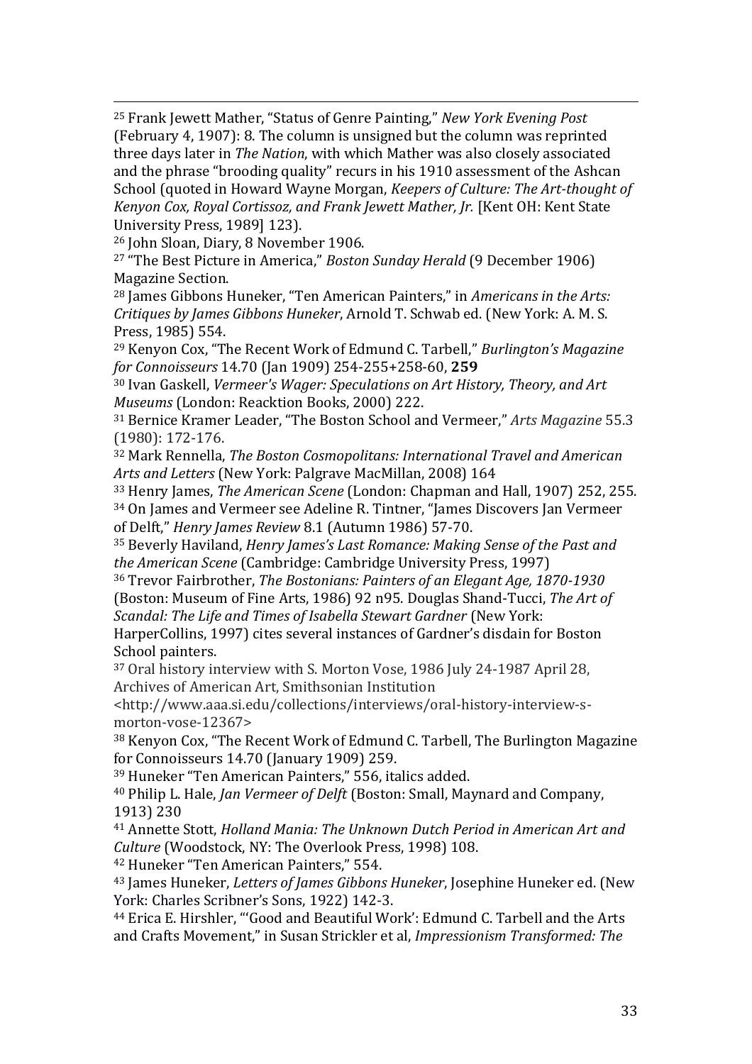$\overline{a}$ <sup>25</sup> Frank Jewett Mather, "Status of Genre Painting," *New York Evening Post* (February 4, 1907): 8. The column is unsigned but the column was reprinted three days later in *The Nation*, with which Mather was also closely associated and the phrase "brooding quality" recurs in his 1910 assessment of the Ashcan School (quoted in Howard Wayne Morgan, *Keepers of Culture: The Art-thought of Kenyon Cox, Royal Cortissoz, and Frank Jewett Mather, Jr.* [Kent OH: Kent State University Press, 1989] 123).

<sup>26</sup> John Sloan, Diary, 8 November 1906.

<sup>27</sup> "The Best Picture in America," *Boston Sunday Herald* (9 December 1906) Magazine Section.

<sup>28</sup> James Gibbons Huneker, "Ten American Painters," in *Americans in the Arts: Critiques by James Gibbons Huneker*, Arnold T. Schwab ed. (New York: A. M. S. Press, 1985) 554.

<sup>29</sup> Kenyon Cox, "The Recent Work of Edmund C. Tarbell," *Burlington's Magazine for Connoisseurs* 14.70 (Jan 1909) 254-255+258-60, **259**

<sup>30</sup> Ivan Gaskell, *Vermeer's Wager: Speculations on Art History, Theory, and Art Museums* (London: Reacktion Books, 2000) 222.

<sup>31</sup> Bernice Kramer Leader, "The Boston School and Vermeer," *Arts Magazine* 55.3 (1980): 172-176.

<sup>32</sup> Mark Rennella, *The Boston Cosmopolitans: International Travel and American Arts and Letters* (New York: Palgrave MacMillan, 2008) 164

<sup>33</sup> Henry James, *The American Scene* (London: Chapman and Hall, 1907) 252, 255. <sup>34</sup> On James and Vermeer see Adeline R. Tintner, "James Discovers Jan Vermeer

of Delft," *Henry James Review* 8.1 (Autumn 1986) 57-70.

<sup>35</sup> Beverly Haviland, *Henry James's Last Romance: Making Sense of the Past and the American Scene* (Cambridge: Cambridge University Press, 1997)

<sup>36</sup> Trevor Fairbrother, *The Bostonians: Painters of an Elegant Age, 1870-1930* (Boston: Museum of Fine Arts, 1986) 92 n95. Douglas Shand-Tucci, *The Art of Scandal: The Life and Times of Isabella Stewart Gardner* (New York:

HarperCollins, 1997) cites several instances of Gardner's disdain for Boston School painters.

<sup>37</sup> Oral history interview with S. Morton Vose, 1986 July 24-1987 April 28, Archives of American Art, Smithsonian Institution

<http://www.aaa.si.edu/collections/interviews/oral-history-interview-smorton-vose-12367>

<sup>38</sup> Kenyon Cox, "The Recent Work of Edmund C. Tarbell, The Burlington Magazine for Connoisseurs 14.70 (January 1909) 259.

<sup>39</sup> Huneker "Ten American Painters," 556, italics added.

<sup>40</sup> Philip L. Hale, *Jan Vermeer of Delft* (Boston: Small, Maynard and Company, 1913) 230

<sup>41</sup> Annette Stott, *Holland Mania: The Unknown Dutch Period in American Art and Culture* (Woodstock, NY: The Overlook Press, 1998) 108.

<sup>42</sup> Huneker "Ten American Painters," 554.

<sup>43</sup> James Huneker, *Letters of James Gibbons Huneker*, Josephine Huneker ed. (New York: Charles Scribner's Sons, 1922) 142-3.

<sup>44</sup> Erica E. Hirshler, "'Good and Beautiful Work': Edmund C. Tarbell and the Arts and Crafts Movement," in Susan Strickler et al, *Impressionism Transformed: The*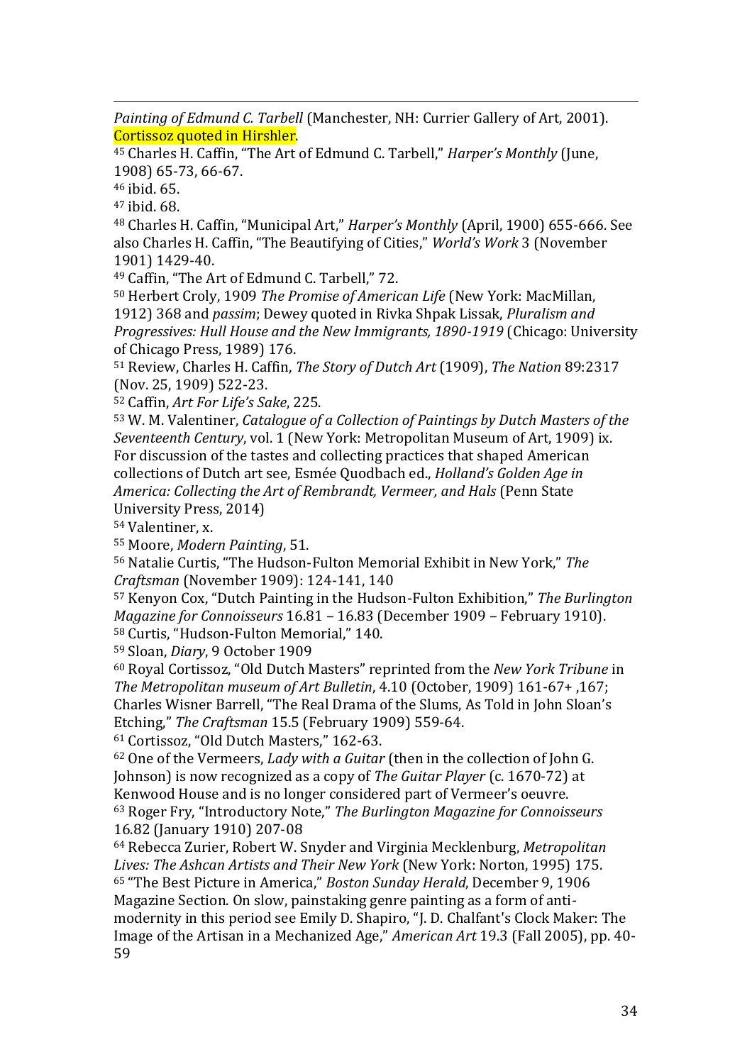$\overline{a}$ *Painting of Edmund C. Tarbell* (Manchester, NH: Currier Gallery of Art, 2001). Cortissoz quoted in Hirshler.

<sup>45</sup> Charles H. Caffin, "The Art of Edmund C. Tarbell," *Harper's Monthly* (June, 1908) 65-73, 66-67.

<sup>46</sup> ibid. 65.

<sup>47</sup> ibid. 68.

<sup>48</sup> Charles H. Caffin, "Municipal Art," *Harper's Monthly* (April, 1900) 655-666. See also Charles H. Caffin, "The Beautifying of Cities," *World's Work* 3 (November 1901) 1429-40.

<sup>49</sup> Caffin, "The Art of Edmund C. Tarbell," 72.

<sup>50</sup> Herbert Croly, 1909 *The Promise of American Life* (New York: MacMillan, 1912) 368 and *passim*; Dewey quoted in Rivka Shpak Lissak, *Pluralism and Progressives: Hull House and the New Immigrants, 1890-1919* (Chicago: University of Chicago Press, 1989) 176.

<sup>51</sup> Review, Charles H. Caffin, *The Story of Dutch Art* (1909), *The Nation* 89:2317 (Nov. 25, 1909) 522-23.

<sup>52</sup> Caffin, *Art For Life's Sake*, 225.

<sup>53</sup> W. M. Valentiner, *Catalogue of a Collection of Paintings by Dutch Masters of the Seventeenth Century*, vol. 1 (New York: Metropolitan Museum of Art, 1909) ix. For discussion of the tastes and collecting practices that shaped American collections of Dutch art see, Esmée Quodbach ed., *Holland's Golden Age in America: Collecting the Art of Rembrandt, Vermeer, and Hals* (Penn State University Press, 2014)

<sup>54</sup> Valentiner, x.

<sup>55</sup> Moore, *Modern Painting*, 51.

<sup>56</sup> Natalie Curtis, "The Hudson-Fulton Memorial Exhibit in New York," *The Craftsman* (November 1909): 124-141, 140

<sup>57</sup> Kenyon Cox, "Dutch Painting in the Hudson-Fulton Exhibition," *The Burlington Magazine for Connoisseurs* 16.81 – 16.83 (December 1909 – February 1910). <sup>58</sup> Curtis, "Hudson-Fulton Memorial," 140.

<sup>59</sup> Sloan, *Diary*, 9 October 1909

<sup>60</sup> Royal Cortissoz, "Old Dutch Masters" reprinted from the *New York Tribune* in *The Metropolitan museum of Art Bulletin*, 4.10 (October, 1909) 161-67+ ,167; Charles Wisner Barrell, "The Real Drama of the Slums, As Told in John Sloan's Etching," *The Craftsman* 15.5 (February 1909) 559-64.

<sup>61</sup> Cortissoz, "Old Dutch Masters," 162-63.

<sup>62</sup> One of the Vermeers, *Lady with a Guitar* (then in the collection of John G. Johnson) is now recognized as a copy of *The Guitar Player* (c. 1670-72) at Kenwood House and is no longer considered part of Vermeer's oeuvre. <sup>63</sup> Roger Fry, "Introductory Note," *The Burlington Magazine for Connoisseurs*  16.82 (January 1910) 207-08

<sup>64</sup> Rebecca Zurier, Robert W. Snyder and Virginia Mecklenburg, *Metropolitan Lives: The Ashcan Artists and Their New York* (New York: Norton, 1995) 175. <sup>65</sup> "The Best Picture in America," *Boston Sunday Herald*, December 9, 1906 Magazine Section. On slow, painstaking genre painting as a form of antimodernity in this period see Emily D. Shapiro, "J. D. Chalfant's Clock Maker: The Image of the Artisan in a Mechanized Age," *American Art* 19.3 (Fall 2005), pp. 40- 59